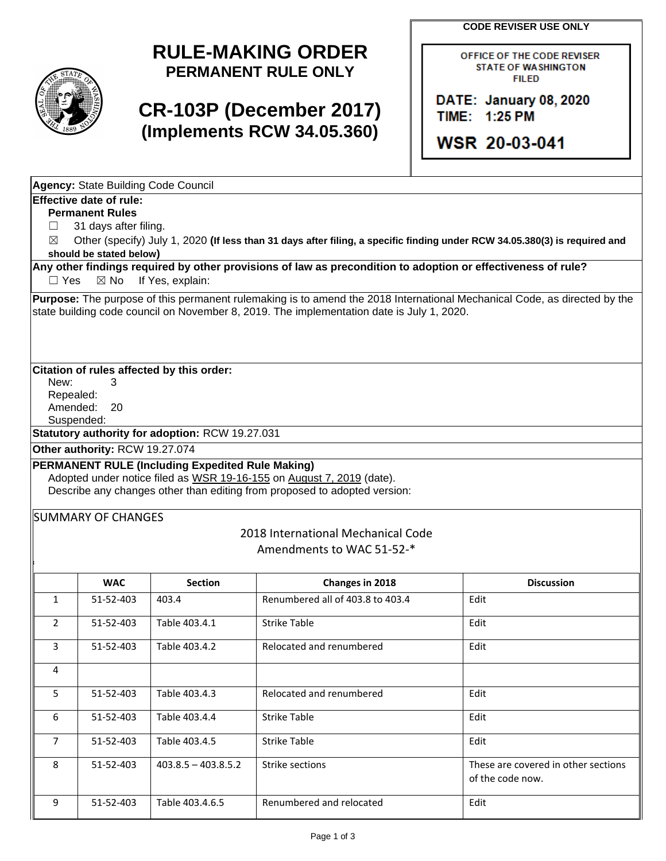**CODE REVISER USE ONLY**



# **RULE-MAKING ORDER PERMANENT RULE ONLY**

# **CR-103P (December 2017) (Implements RCW 34.05.360)**

OFFICE OF THE CODE REVISER **STATE OF WASHINGTON FILED** 

DATE: January 08, 2020 TIME: 1:25 PM

WSR 20-03-041

|                   | <b>Agency: State Building Code Council</b>                                                                                 |                                                         |                                                                                                                                                                                                                       |                                                         |  |  |  |  |
|-------------------|----------------------------------------------------------------------------------------------------------------------------|---------------------------------------------------------|-----------------------------------------------------------------------------------------------------------------------------------------------------------------------------------------------------------------------|---------------------------------------------------------|--|--|--|--|
|                   | <b>Effective date of rule:</b>                                                                                             |                                                         |                                                                                                                                                                                                                       |                                                         |  |  |  |  |
|                   | <b>Permanent Rules</b>                                                                                                     |                                                         |                                                                                                                                                                                                                       |                                                         |  |  |  |  |
| $\perp$           | 31 days after filing.                                                                                                      |                                                         |                                                                                                                                                                                                                       |                                                         |  |  |  |  |
| ⊠                 | Other (specify) July 1, 2020 (If less than 31 days after filing, a specific finding under RCW 34.05.380(3) is required and |                                                         |                                                                                                                                                                                                                       |                                                         |  |  |  |  |
|                   | should be stated below)                                                                                                    |                                                         |                                                                                                                                                                                                                       |                                                         |  |  |  |  |
|                   | Any other findings required by other provisions of law as precondition to adoption or effectiveness of rule?               |                                                         |                                                                                                                                                                                                                       |                                                         |  |  |  |  |
| $\Box$ Yes        | $\boxtimes$ No                                                                                                             | If Yes, explain:                                        |                                                                                                                                                                                                                       |                                                         |  |  |  |  |
|                   |                                                                                                                            |                                                         | Purpose: The purpose of this permanent rulemaking is to amend the 2018 International Mechanical Code, as directed by the<br>state building code council on November 8, 2019. The implementation date is July 1, 2020. |                                                         |  |  |  |  |
| New:<br>Repealed: | З                                                                                                                          | Citation of rules affected by this order:               |                                                                                                                                                                                                                       |                                                         |  |  |  |  |
| Amended:          | 20<br>Suspended:                                                                                                           |                                                         |                                                                                                                                                                                                                       |                                                         |  |  |  |  |
|                   |                                                                                                                            | Statutory authority for adoption: RCW 19.27.031         |                                                                                                                                                                                                                       |                                                         |  |  |  |  |
|                   | Other authority: RCW 19.27.074                                                                                             |                                                         |                                                                                                                                                                                                                       |                                                         |  |  |  |  |
|                   |                                                                                                                            | <b>PERMANENT RULE (Including Expedited Rule Making)</b> | Adopted under notice filed as WSR 19-16-155 on August 7, 2019 (date).<br>Describe any changes other than editing from proposed to adopted version:                                                                    |                                                         |  |  |  |  |
|                   | <b>SUMMARY OF CHANGES</b>                                                                                                  |                                                         | 2018 International Mechanical Code<br>Amendments to WAC 51-52-*                                                                                                                                                       |                                                         |  |  |  |  |
|                   | <b>WAC</b>                                                                                                                 | <b>Section</b>                                          | Changes in 2018                                                                                                                                                                                                       | <b>Discussion</b>                                       |  |  |  |  |
| 1                 | 51-52-403                                                                                                                  | 403.4                                                   | Renumbered all of 403.8 to 403.4                                                                                                                                                                                      | Edit                                                    |  |  |  |  |
| 2                 | 51-52-403                                                                                                                  | Table 403.4.1                                           | <b>Strike Table</b>                                                                                                                                                                                                   | Edit                                                    |  |  |  |  |
| 3                 | 51-52-403                                                                                                                  | Table 403.4.2                                           | Relocated and renumbered                                                                                                                                                                                              | Edit                                                    |  |  |  |  |
| 4                 |                                                                                                                            |                                                         |                                                                                                                                                                                                                       |                                                         |  |  |  |  |
| 5                 | 51-52-403                                                                                                                  | Table 403.4.3                                           | Relocated and renumbered                                                                                                                                                                                              | Edit                                                    |  |  |  |  |
| 6                 | 51-52-403                                                                                                                  | Table 403.4.4                                           | <b>Strike Table</b>                                                                                                                                                                                                   | Edit                                                    |  |  |  |  |
| $\overline{7}$    | 51-52-403                                                                                                                  | Table 403.4.5                                           | <b>Strike Table</b>                                                                                                                                                                                                   | Edit                                                    |  |  |  |  |
| 8                 | 51-52-403                                                                                                                  | $403.8.5 - 403.8.5.2$                                   | Strike sections                                                                                                                                                                                                       | These are covered in other sections<br>of the code now. |  |  |  |  |
| 9                 | 51-52-403                                                                                                                  | Table 403.4.6.5                                         | Renumbered and relocated                                                                                                                                                                                              | Edit                                                    |  |  |  |  |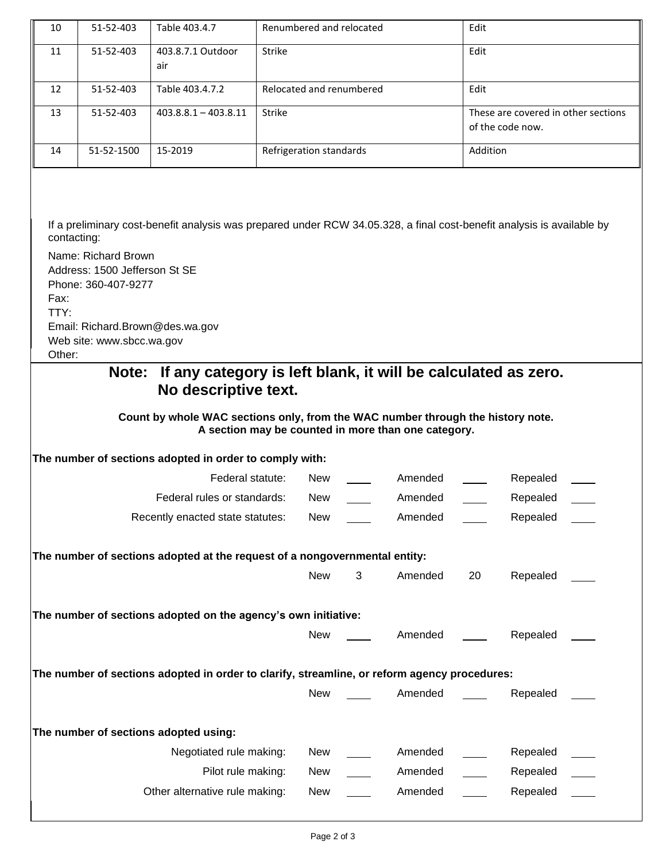| 10                                                                                           | 51-52-403                                                                                                                                                                                                                                                                                                                                                                                                                                                                                                                                  | Table 403.4.7                                                              | Renumbered and relocated |            |   |         | Edit             |                                     |  |
|----------------------------------------------------------------------------------------------|--------------------------------------------------------------------------------------------------------------------------------------------------------------------------------------------------------------------------------------------------------------------------------------------------------------------------------------------------------------------------------------------------------------------------------------------------------------------------------------------------------------------------------------------|----------------------------------------------------------------------------|--------------------------|------------|---|---------|------------------|-------------------------------------|--|
| 11                                                                                           | 51-52-403                                                                                                                                                                                                                                                                                                                                                                                                                                                                                                                                  | 403.8.7.1 Outdoor<br>air                                                   | Strike                   |            |   |         | Edit             |                                     |  |
| 12                                                                                           | 51-52-403                                                                                                                                                                                                                                                                                                                                                                                                                                                                                                                                  | Table 403.4.7.2                                                            | Relocated and renumbered |            |   |         | Edit             |                                     |  |
| 13                                                                                           | 51-52-403                                                                                                                                                                                                                                                                                                                                                                                                                                                                                                                                  | $403.8.8.1 - 403.8.11$                                                     | Strike                   |            |   |         | of the code now. | These are covered in other sections |  |
| 14                                                                                           | 51-52-1500                                                                                                                                                                                                                                                                                                                                                                                                                                                                                                                                 | 15-2019                                                                    | Refrigeration standards  |            |   |         | Addition         |                                     |  |
| Fax:<br>TTY:                                                                                 | If a preliminary cost-benefit analysis was prepared under RCW 34.05.328, a final cost-benefit analysis is available by<br>contacting:<br>Name: Richard Brown<br>Address: 1500 Jefferson St SE<br>Phone: 360-407-9277<br>Email: Richard.Brown@des.wa.gov<br>Web site: www.sbcc.wa.gov<br>Other:<br>If any category is left blank, it will be calculated as zero.<br>Note:<br>No descriptive text.<br>Count by whole WAC sections only, from the WAC number through the history note.<br>A section may be counted in more than one category. |                                                                            |                          |            |   |         |                  |                                     |  |
|                                                                                              |                                                                                                                                                                                                                                                                                                                                                                                                                                                                                                                                            | The number of sections adopted in order to comply with:                    |                          |            |   |         |                  |                                     |  |
|                                                                                              |                                                                                                                                                                                                                                                                                                                                                                                                                                                                                                                                            | Federal statute:                                                           |                          | <b>New</b> |   | Amended |                  | Repealed                            |  |
|                                                                                              |                                                                                                                                                                                                                                                                                                                                                                                                                                                                                                                                            | Federal rules or standards:                                                |                          | <b>New</b> |   | Amended |                  | Repealed                            |  |
|                                                                                              |                                                                                                                                                                                                                                                                                                                                                                                                                                                                                                                                            | Recently enacted state statutes:                                           |                          | New        |   | Amended |                  | Repealed                            |  |
|                                                                                              |                                                                                                                                                                                                                                                                                                                                                                                                                                                                                                                                            | The number of sections adopted at the request of a nongovernmental entity: |                          | <b>New</b> | 3 | Amended | 20               | Repealed                            |  |
|                                                                                              |                                                                                                                                                                                                                                                                                                                                                                                                                                                                                                                                            | The number of sections adopted on the agency's own initiative:             |                          |            |   |         |                  |                                     |  |
|                                                                                              |                                                                                                                                                                                                                                                                                                                                                                                                                                                                                                                                            |                                                                            |                          | New        |   | Amended |                  | Repealed                            |  |
| The number of sections adopted in order to clarify, streamline, or reform agency procedures: |                                                                                                                                                                                                                                                                                                                                                                                                                                                                                                                                            |                                                                            |                          |            |   |         |                  |                                     |  |
|                                                                                              |                                                                                                                                                                                                                                                                                                                                                                                                                                                                                                                                            |                                                                            |                          | <b>New</b> |   | Amended |                  | Repealed                            |  |
|                                                                                              |                                                                                                                                                                                                                                                                                                                                                                                                                                                                                                                                            | The number of sections adopted using:                                      |                          |            |   |         |                  |                                     |  |
|                                                                                              |                                                                                                                                                                                                                                                                                                                                                                                                                                                                                                                                            | Negotiated rule making:                                                    |                          | New        |   | Amended |                  | Repealed                            |  |
|                                                                                              |                                                                                                                                                                                                                                                                                                                                                                                                                                                                                                                                            | Pilot rule making:                                                         |                          | New        |   | Amended |                  | Repealed                            |  |
|                                                                                              |                                                                                                                                                                                                                                                                                                                                                                                                                                                                                                                                            | Other alternative rule making:                                             |                          | New        |   | Amended |                  | Repealed                            |  |
|                                                                                              |                                                                                                                                                                                                                                                                                                                                                                                                                                                                                                                                            |                                                                            |                          |            |   |         |                  |                                     |  |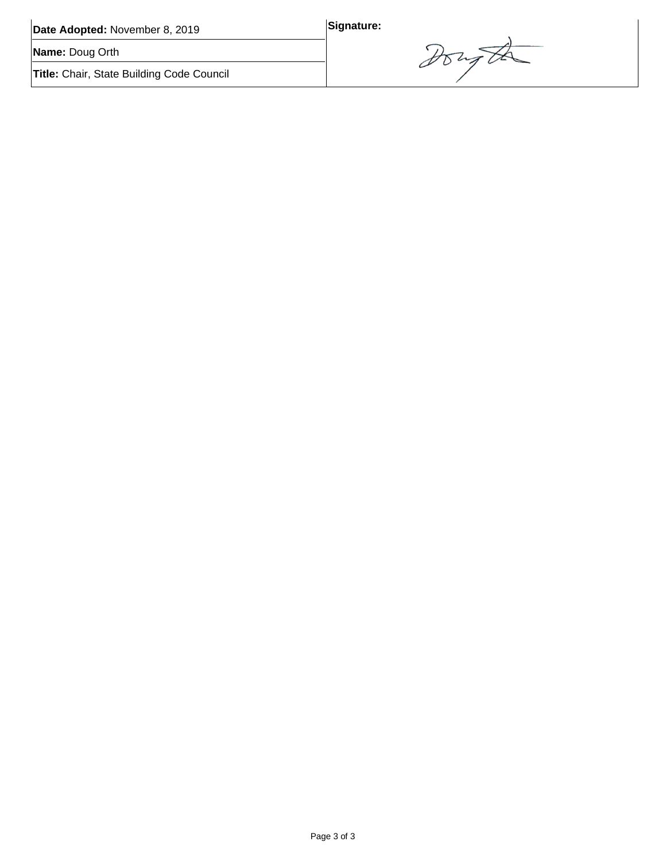| Date Adopted: November 8, 2019                   | Signature: |
|--------------------------------------------------|------------|
| Name: Doug Orth                                  |            |
| <b>Title:</b> Chair, State Building Code Council |            |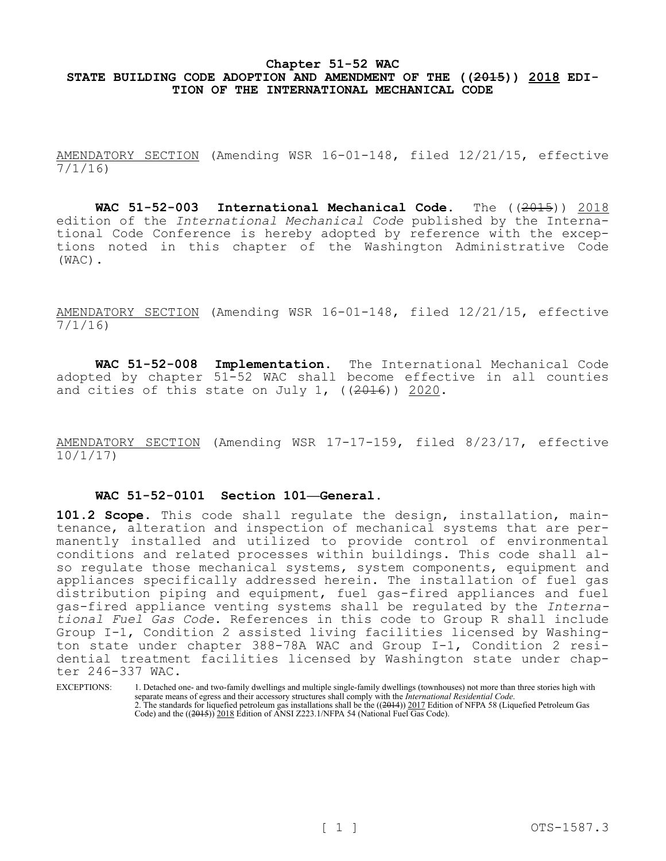### **Chapter 51-52 WAC STATE BUILDING CODE ADOPTION AND AMENDMENT OF THE ((2015)) 2018 EDI-TION OF THE INTERNATIONAL MECHANICAL CODE**

AMENDATORY SECTION (Amending WSR 16-01-148, filed 12/21/15, effective 7/1/16)

WAC 51-52-003 International Mechanical Code. The ((2015)) 2018 edition of the *International Mechanical Code* published by the International Code Conference is hereby adopted by reference with the exceptions noted in this chapter of the Washington Administrative Code (WAC).

AMENDATORY SECTION (Amending WSR 16-01-148, filed 12/21/15, effective 7/1/16)

**WAC 51-52-008 Implementation.** The International Mechanical Code adopted by chapter 51-52 WAC shall become effective in all counties and cities of this state on July 1,  $((2016))$  2020.

AMENDATORY SECTION (Amending WSR 17-17-159, filed 8/23/17, effective 10/1/17)

### **WAC 51-52-0101 Section 101—General.**

**101.2 Scope.** This code shall regulate the design, installation, maintenance, alteration and inspection of mechanical systems that are permanently installed and utilized to provide control of environmental conditions and related processes within buildings. This code shall also regulate those mechanical systems, system components, equipment and appliances specifically addressed herein. The installation of fuel gas distribution piping and equipment, fuel gas-fired appliances and fuel gas-fired appliance venting systems shall be regulated by the *International Fuel Gas Code*. References in this code to Group R shall include Group I-1, Condition 2 assisted living facilities licensed by Washington state under chapter 388-78A WAC and Group I-1, Condition 2 residential treatment facilities licensed by Washington state under chapter 246-337 WAC.

EXCEPTIONS: 1. Detached one- and two-family dwellings and multiple single-family dwellings (townhouses) not more than three stories high with separate means of egress and their accessory structures shall comply with the *International Residential Code*. 2. The standards for liquefied petroleum gas installations shall be the ((2014)) 2017 Edition of NFPA 58 (Liquefied Petroleum Gas Code) and the ((2015)) 2018 Edition of ANSI Z223.1/NFPA 54 (National Fuel Gas Code).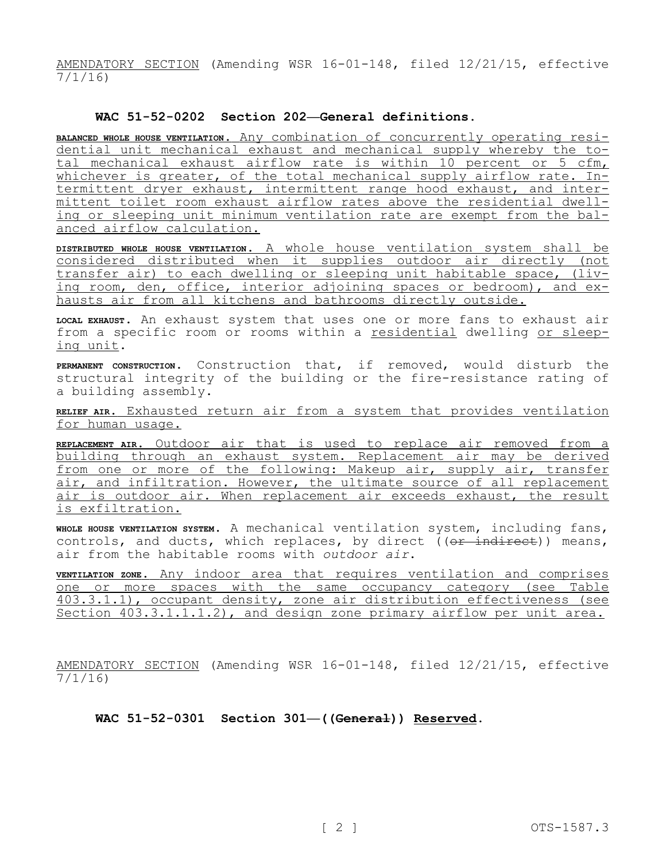AMENDATORY SECTION (Amending WSR 16-01-148, filed 12/21/15, effective 7/1/16)

### **WAC 51-52-0202 Section 202—General definitions.**

**BALANCED WHOLE HOUSE VENTILATION.** Any combination of concurrently operating residential unit mechanical exhaust and mechanical supply whereby the total mechanical exhaust airflow rate is within 10 percent or 5 cfm, whichever is greater, of the total mechanical supply airflow rate. Intermittent dryer exhaust, intermittent range hood exhaust, and intermittent toilet room exhaust airflow rates above the residential dwelling or sleeping unit minimum ventilation rate are exempt from the balanced airflow calculation.

**DISTRIBUTED WHOLE HOUSE VENTILATION.** A whole house ventilation system shall be considered distributed when it supplies outdoor air directly (not transfer air) to each dwelling or sleeping unit habitable space, (living room, den, office, interior adjoining spaces or bedroom), and exhausts air from all kitchens and bathrooms directly outside.

**LOCAL EXHAUST.** An exhaust system that uses one or more fans to exhaust air from a specific room or rooms within a residential dwelling or sleeping unit.

**PERMANENT CONSTRUCTION.** Construction that, if removed, would disturb the structural integrity of the building or the fire-resistance rating of a building assembly.

**RELIEF AIR.** Exhausted return air from a system that provides ventilation for human usage.

**REPLACEMENT AIR.** Outdoor air that is used to replace air removed from a building through an exhaust system. Replacement air may be derived from one or more of the following: Makeup air, supply air, transfer air, and infiltration. However, the ultimate source of all replacement air is outdoor air. When replacement air exceeds exhaust, the result is exfiltration.

**WHOLE HOUSE VENTILATION SYSTEM.** A mechanical ventilation system, including fans, controls, and ducts, which replaces, by direct ((or indirect)) means, air from the habitable rooms with *outdoor air*.

**VENTILATION ZONE.** Any indoor area that requires ventilation and comprises one or more spaces with the same occupancy category (see Table 403.3.1.1), occupant density, zone air distribution effectiveness (see Section 403.3.1.1.1.2), and design zone primary airflow per unit area.

AMENDATORY SECTION (Amending WSR 16-01-148, filed 12/21/15, effective 7/1/16)

**WAC 51-52-0301 Section 301—((General)) Reserved.**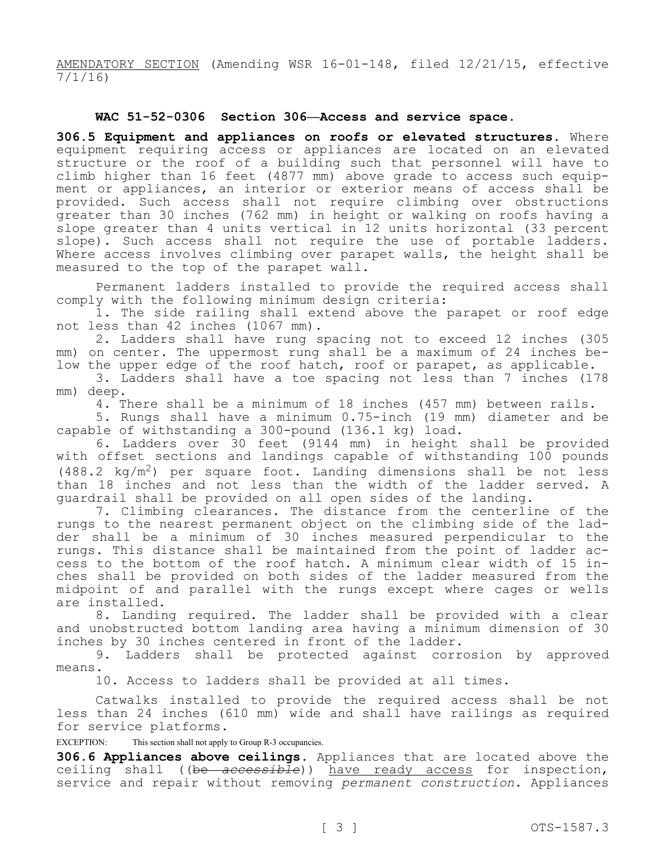AMENDATORY SECTION (Amending WSR 16-01-148, filed 12/21/15, effective 7/1/16)

### **WAC 51-52-0306 Section 306—Access and service space.**

**306.5 Equipment and appliances on roofs or elevated structures.** Where equipment requiring access or appliances are located on an elevated structure or the roof of a building such that personnel will have to climb higher than 16 feet (4877 mm) above grade to access such equipment or appliances, an interior or exterior means of access shall be provided. Such access shall not require climbing over obstructions greater than 30 inches (762 mm) in height or walking on roofs having a slope greater than 4 units vertical in 12 units horizontal (33 percent slope). Such access shall not require the use of portable ladders. Where access involves climbing over parapet walls, the height shall be measured to the top of the parapet wall.

Permanent ladders installed to provide the required access shall comply with the following minimum design criteria:

1. The side railing shall extend above the parapet or roof edge not less than 42 inches (1067 mm).

2. Ladders shall have rung spacing not to exceed 12 inches (305 mm) on center. The uppermost rung shall be a maximum of 24 inches below the upper edge of the roof hatch, roof or parapet, as applicable.

3. Ladders shall have a toe spacing not less than 7 inches (178 mm) deep.

4. There shall be a minimum of 18 inches (457 mm) between rails.

5. Rungs shall have a minimum 0.75-inch (19 mm) diameter and be capable of withstanding a 300-pound (136.1 kg) load.

6. Ladders over 30 feet (9144 mm) in height shall be provided with offset sections and landings capable of withstanding 100 pounds  $(488.2 \text{ kg/m}^2)$  per square foot. Landing dimensions shall be not less than 18 inches and not less than the width of the ladder served. A guardrail shall be provided on all open sides of the landing.

7. Climbing clearances. The distance from the centerline of the rungs to the nearest permanent object on the climbing side of the ladder shall be a minimum of 30 inches measured perpendicular to the rungs. This distance shall be maintained from the point of ladder access to the bottom of the roof hatch. A minimum clear width of 15 inches shall be provided on both sides of the ladder measured from the midpoint of and parallel with the rungs except where cages or wells are installed.

8. Landing required. The ladder shall be provided with a clear and unobstructed bottom landing area having a minimum dimension of 30 inches by 30 inches centered in front of the ladder.

9. Ladders shall be protected against corrosion by approved means.

10. Access to ladders shall be provided at all times.

Catwalks installed to provide the required access shall be not less than 24 inches (610 mm) wide and shall have railings as required for service platforms.

EXCEPTION: This section shall not apply to Group R-3 occupancies.

**306.6 Appliances above ceilings.** Appliances that are located above the ceiling shall ((be *accessible*)) have ready access for inspection, service and repair without removing *permanent construction*. Appliances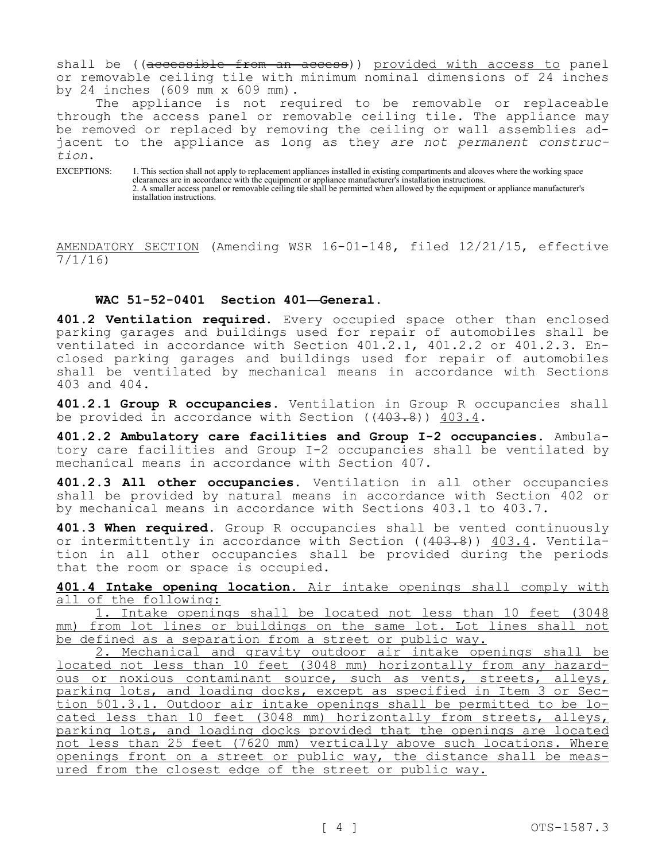shall be ((accessible from an access)) provided with access to panel or removable ceiling tile with minimum nominal dimensions of 24 inches by 24 inches (609 mm x 609 mm).

The appliance is not required to be removable or replaceable through the access panel or removable ceiling tile. The appliance may be removed or replaced by removing the ceiling or wall assemblies adjacent to the appliance as long as they *are not permanent construction*.

EXCEPTIONS: 1. This section shall not apply to replacement appliances installed in existing compartments and alcoves where the working space clearances are in accordance with the equipment or appliance manufacturer's installation instructions. 2. A smaller access panel or removable ceiling tile shall be permitted when allowed by the equipment or appliance manufacturer's installation instructions.

AMENDATORY SECTION (Amending WSR 16-01-148, filed 12/21/15, effective 7/1/16)

### **WAC 51-52-0401 Section 401—General.**

**401.2 Ventilation required.** Every occupied space other than enclosed parking garages and buildings used for repair of automobiles shall be ventilated in accordance with Section 401.2.1, 401.2.2 or 401.2.3. Enclosed parking garages and buildings used for repair of automobiles shall be ventilated by mechanical means in accordance with Sections 403 and 404.

**401.2.1 Group R occupancies.** Ventilation in Group R occupancies shall be provided in accordance with Section  $((403.8))$   $403.4$ .

**401.2.2 Ambulatory care facilities and Group I-2 occupancies.** Ambulatory care facilities and Group I-2 occupancies shall be ventilated by mechanical means in accordance with Section 407.

**401.2.3 All other occupancies.** Ventilation in all other occupancies shall be provided by natural means in accordance with Section 402 or by mechanical means in accordance with Sections 403.1 to 403.7.

**401.3 When required.** Group R occupancies shall be vented continuously or intermittently in accordance with Section ((403.8)) 403.4. Ventilation in all other occupancies shall be provided during the periods that the room or space is occupied.

**401.4 Intake opening location.** Air intake openings shall comply with all of the following:

1. Intake openings shall be located not less than 10 feet (3048 mm) from lot lines or buildings on the same lot. Lot lines shall not be defined as a separation from a street or public way.

2. Mechanical and gravity outdoor air intake openings shall be located not less than 10 feet (3048 mm) horizontally from any hazardous or noxious contaminant source, such as vents, streets, alleys, parking lots, and loading docks, except as specified in Item 3 or Section 501.3.1. Outdoor air intake openings shall be permitted to be located less than 10 feet (3048 mm) horizontally from streets, alleys, parking lots, and loading docks provided that the openings are located not less than 25 feet (7620 mm) vertically above such locations. Where openings front on a street or public way, the distance shall be measured from the closest edge of the street or public way.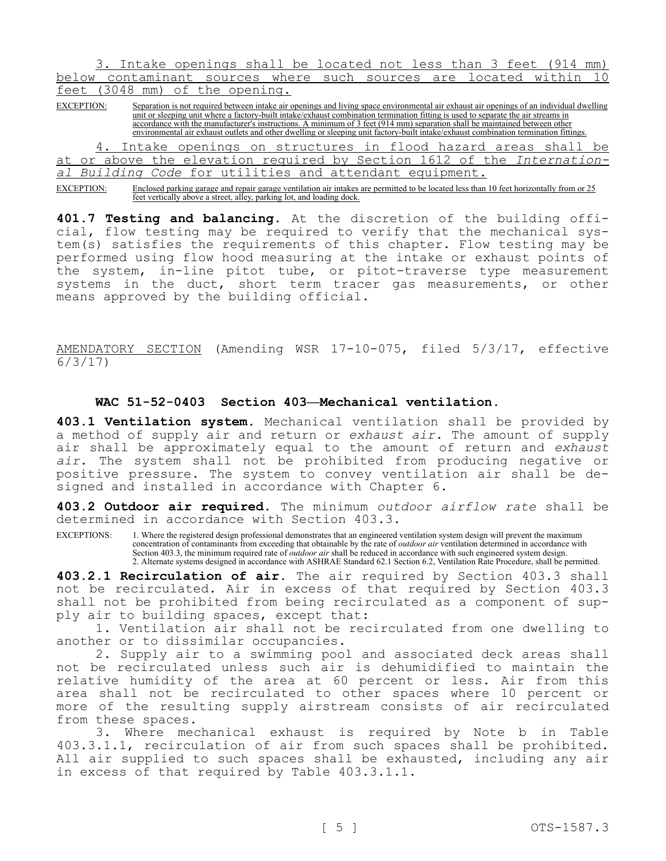3. Intake openings shall be located not less than 3 feet (914 mm) below contaminant sources where such sources are located within 10 feet (3048 mm) of the opening.

EXCEPTION: Separation is not required between intake air openings and living space environmental air exhaust air openings of an individual dwelling unit or sleeping unit where a factory-built intake/exhaust combination termination fitting is used to separate the air streams in accordance with the manufacturer's instructions. A minimum of 3 feet (914 mm) separation shall be maintained between other environmental air exhaust outlets and other dwelling or sleeping unit factory-built intake/exhaust combination termination fittings.

4. Intake openings on structures in flood hazard areas shall be at or above the elevation required by Section 1612 of the *International Building Code* for utilities and attendant equipment.

EXCEPTION: Enclosed parking garage and repair garage ventilation air intakes are permitted to be located less than 10 feet horizontally from or 25 feet vertically above a street, alley, parking lot, and loading dock.

**401.7 Testing and balancing.** At the discretion of the building official, flow testing may be required to verify that the mechanical system(s) satisfies the requirements of this chapter. Flow testing may be performed using flow hood measuring at the intake or exhaust points of the system, in-line pitot tube, or pitot-traverse type measurement systems in the duct, short term tracer gas measurements, or other means approved by the building official.

AMENDATORY SECTION (Amending WSR 17-10-075, filed 5/3/17, effective 6/3/17)

### **WAC 51-52-0403 Section 403—Mechanical ventilation.**

**403.1 Ventilation system.** Mechanical ventilation shall be provided by a method of supply air and return or *exhaust air*. The amount of supply air shall be approximately equal to the amount of return and *exhaust air*. The system shall not be prohibited from producing negative or positive pressure. The system to convey ventilation air shall be designed and installed in accordance with Chapter 6.

**403.2 Outdoor air required.** The minimum *outdoor airflow rate* shall be determined in accordance with Section 403.3.

EXCEPTIONS: 1. Where the registered design professional demonstrates that an engineered ventilation system design will prevent the maximum concentration of contaminants from exceeding that obtainable by the rate of *outdoor air* ventilation determined in accordance with Section 403.3, the minimum required rate of *outdoor air* shall be reduced in accordance with such engineered system design. 2. Alternate systems designed in accordance with ASHRAE Standard 62.1 Section 6.2, Ventilation Rate Procedure, shall be permitted.

**403.2.1 Recirculation of air.** The air required by Section 403.3 shall not be recirculated. Air in excess of that required by Section 403.3 shall not be prohibited from being recirculated as a component of supply air to building spaces, except that:

1. Ventilation air shall not be recirculated from one dwelling to another or to dissimilar occupancies.

2. Supply air to a swimming pool and associated deck areas shall not be recirculated unless such air is dehumidified to maintain the relative humidity of the area at 60 percent or less. Air from this area shall not be recirculated to other spaces where 10 percent or more of the resulting supply airstream consists of air recirculated from these spaces.

3. Where mechanical exhaust is required by Note b in Table 403.3.1.1, recirculation of air from such spaces shall be prohibited. All air supplied to such spaces shall be exhausted, including any air in excess of that required by Table 403.3.1.1.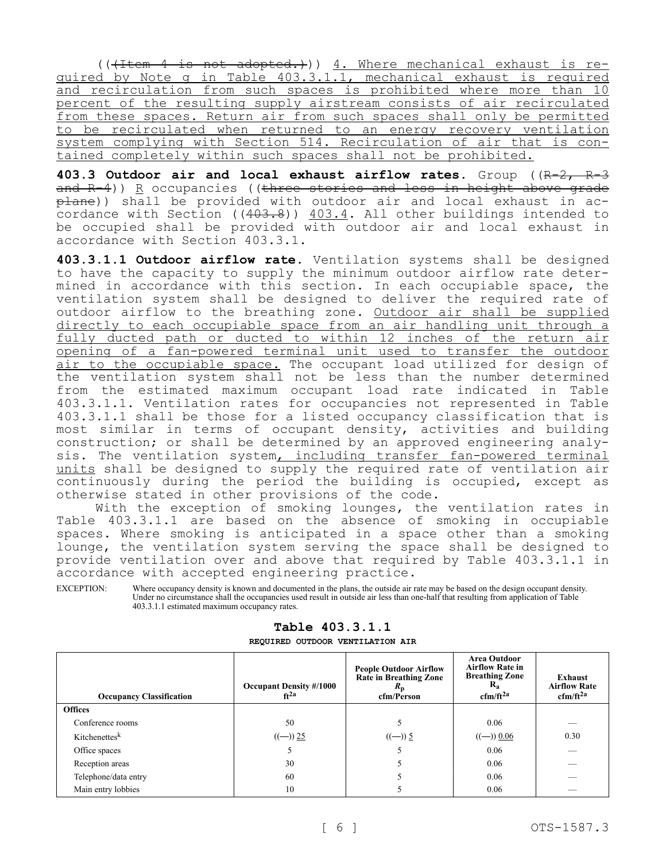(((Item 4 is not adopted.))) 4. Where mechanical exhaust is required by Note g in Table 403.3.1.1, mechanical exhaust is required and recirculation from such spaces is prohibited where more than 10 percent of the resulting supply airstream consists of air recirculated from these spaces. Return air from such spaces shall only be permitted to be recirculated when returned to an energy recovery ventilation system complying with Section 514. Recirculation of air that is contained completely within such spaces shall not be prohibited.

**403.3 Outdoor air and local exhaust airflow rates.** Group ((R-2, R-3 and R-4)) R occupancies ((three stories and less in height above grade plane)) shall be provided with outdoor air and local exhaust in accordance with Section  $((403.8))$  403.4. All other buildings intended to be occupied shall be provided with outdoor air and local exhaust in accordance with Section 403.3.1.

**403.3.1.1 Outdoor airflow rate.** Ventilation systems shall be designed to have the capacity to supply the minimum outdoor airflow rate determined in accordance with this section. In each occupiable space, the ventilation system shall be designed to deliver the required rate of outdoor airflow to the breathing zone. Outdoor air shall be supplied directly to each occupiable space from an air handling unit through a fully ducted path or ducted to within 12 inches of the return air opening of a fan-powered terminal unit used to transfer the outdoor air to the occupiable space. The occupant load utilized for design of the ventilation system shall not be less than the number determined from the estimated maximum occupant load rate indicated in Table 403.3.1.1. Ventilation rates for occupancies not represented in Table 403.3.1.1 shall be those for a listed occupancy classification that is most similar in terms of occupant density, activities and building construction; or shall be determined by an approved engineering analysis. The ventilation system, including transfer fan-powered terminal units shall be designed to supply the required rate of ventilation air continuously during the period the building is occupied, except as otherwise stated in other provisions of the code.

With the exception of smoking lounges, the ventilation rates in Table 403.3.1.1 are based on the absence of smoking in occupiable spaces. Where smoking is anticipated in a space other than a smoking lounge, the ventilation system serving the space shall be designed to provide ventilation over and above that required by Table 403.3.1.1 in accordance with accepted engineering practice.

EXCEPTION: Where occupancy density is known and documented in the plans, the outside air rate may be based on the design occupant density. Under no circumstance shall the occupancies used result in outside air less than one-half that resulting from application of Table 403.3.1.1 estimated maximum occupancy rates.

| <b>Occupancy Classification</b> | <b>Occupant Density #/1000</b><br>$ft^{2a}$ | <b>People Outdoor Airflow</b><br>Rate in Breathing Zone<br>$R_{\rm p}$<br>cfm/Person | <b>Area Outdoor</b><br><b>Airflow Rate in</b><br><b>Breathing Zone</b><br>$R_{a}$<br>$cfm/ft^{2a}$ | Exhaust<br><b>Airflow Rate</b><br>$cfm/ft^{2a}$ |
|---------------------------------|---------------------------------------------|--------------------------------------------------------------------------------------|----------------------------------------------------------------------------------------------------|-------------------------------------------------|
| <b>Offices</b>                  |                                             |                                                                                      |                                                                                                    |                                                 |
| Conference rooms                | 50                                          |                                                                                      | 0.06                                                                                               |                                                 |
| Kitchenettesk                   | $((-) ) 25$                                 | $((-) ) 5$                                                                           | $((-) ) 0.06$                                                                                      | 0.30                                            |
| Office spaces                   |                                             |                                                                                      | 0.06                                                                                               |                                                 |
| Reception areas                 | 30                                          |                                                                                      | 0.06                                                                                               |                                                 |
| Telephone/data entry            | 60                                          |                                                                                      | 0.06                                                                                               |                                                 |
| Main entry lobbies              | 10                                          |                                                                                      | 0.06                                                                                               |                                                 |

### **Table 403.3.1.1**

**REQUIRED OUTDOOR VENTILATION AIR**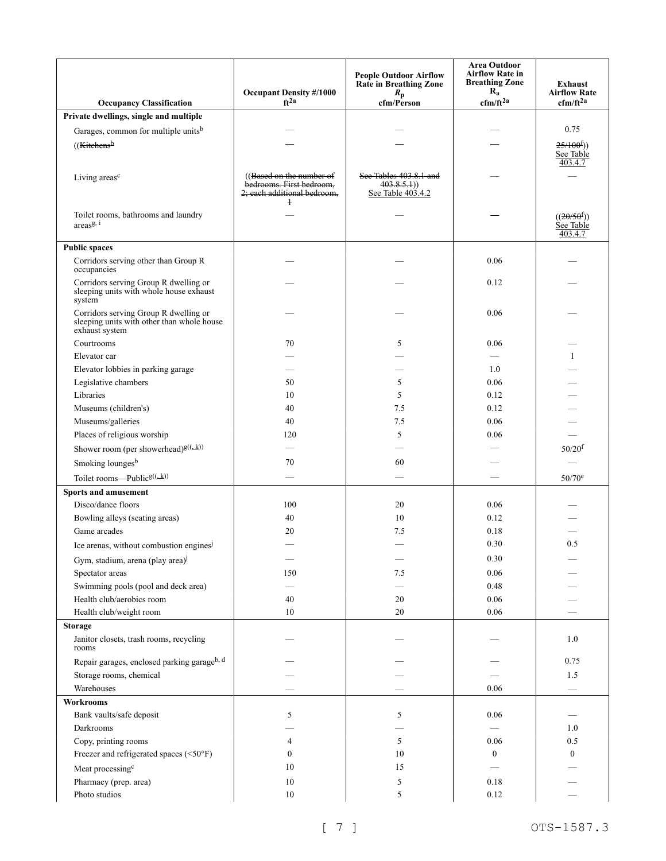| <b>Occupancy Classification</b>                                                                       | <b>Occupant Density #/1000</b><br>$ft^{2a}$                                                   | <b>People Outdoor Airflow</b><br>Rate in Breathing Zone<br>$R_{\rm p}$<br>cfm/Person | <b>Area Outdoor</b><br><b>Airflow Rate in</b><br><b>Breathing Zone</b><br>$\mathbf{R_{a}}$<br>$cfm/ft^{2a}$ | Exhaust<br><b>Airflow Rate</b><br>$cfm/ft^{2a}$ |
|-------------------------------------------------------------------------------------------------------|-----------------------------------------------------------------------------------------------|--------------------------------------------------------------------------------------|-------------------------------------------------------------------------------------------------------------|-------------------------------------------------|
| Private dwellings, single and multiple                                                                |                                                                                               |                                                                                      |                                                                                                             |                                                 |
| Garages, common for multiple units <sup>b</sup>                                                       |                                                                                               |                                                                                      |                                                                                                             | 0.75                                            |
|                                                                                                       |                                                                                               |                                                                                      |                                                                                                             |                                                 |
| ((Kitchens <sup>b</sup>                                                                               |                                                                                               |                                                                                      |                                                                                                             | 25/100 <sup>f</sup> )<br>See Table<br>403.4.7   |
| Living areas <sup>c</sup>                                                                             | ((Based on the number of<br>bedrooms. First bedroom,<br>2; each additional bedroom,<br>$^{+}$ | See Tables 403.8.1 and<br>403.8.5.1)<br>See Table 403.4.2                            |                                                                                                             |                                                 |
| Toilet rooms, bathrooms and laundry<br>$\arccos^{g, i}$                                               |                                                                                               |                                                                                      |                                                                                                             | ((20/50 <sup>f</sup> ))<br>See Table<br>403.4.7 |
| <b>Public spaces</b>                                                                                  |                                                                                               |                                                                                      |                                                                                                             |                                                 |
| Corridors serving other than Group R<br>occupancies                                                   |                                                                                               |                                                                                      | 0.06                                                                                                        |                                                 |
| Corridors serving Group R dwelling or<br>sleeping units with whole house exhaust<br>system            |                                                                                               |                                                                                      | 0.12                                                                                                        |                                                 |
| Corridors serving Group R dwelling or<br>sleeping units with other than whole house<br>exhaust system |                                                                                               |                                                                                      | 0.06                                                                                                        |                                                 |
| Courtrooms                                                                                            | 70                                                                                            | 5                                                                                    | 0.06                                                                                                        |                                                 |
| Elevator car                                                                                          |                                                                                               |                                                                                      |                                                                                                             |                                                 |
| Elevator lobbies in parking garage                                                                    |                                                                                               |                                                                                      | 1.0                                                                                                         |                                                 |
| Legislative chambers                                                                                  | 50                                                                                            | 5                                                                                    | 0.06                                                                                                        |                                                 |
| Libraries                                                                                             | 10                                                                                            | 5                                                                                    | 0.12                                                                                                        |                                                 |
| Museums (children's)                                                                                  | 40                                                                                            | 7.5                                                                                  | 0.12                                                                                                        |                                                 |
| Museums/galleries                                                                                     | 40                                                                                            | 7.5                                                                                  | 0.06                                                                                                        |                                                 |
| Places of religious worship                                                                           | 120                                                                                           | 5                                                                                    | 0.06                                                                                                        |                                                 |
| Shower room (per showerhead) <sup>g((,k))</sup>                                                       |                                                                                               |                                                                                      |                                                                                                             | $50/20^{f}$                                     |
| Smoking lounges <sup>b</sup>                                                                          | 70                                                                                            | 60                                                                                   |                                                                                                             |                                                 |
| Toilet rooms—Public <sup>g((,k))</sup>                                                                |                                                                                               |                                                                                      |                                                                                                             | 50/70 <sup>e</sup>                              |
| <b>Sports and amusement</b>                                                                           |                                                                                               |                                                                                      |                                                                                                             |                                                 |
| Disco/dance floors                                                                                    | 100                                                                                           | 20                                                                                   | 0.06                                                                                                        |                                                 |
| Bowling alleys (seating areas)                                                                        | 40                                                                                            | 10                                                                                   | 0.12                                                                                                        |                                                 |
| Game arcades                                                                                          | 20                                                                                            | 7.5                                                                                  | 0.18                                                                                                        |                                                 |
| Ice arenas, without combustion engines <sup>j</sup>                                                   |                                                                                               |                                                                                      | $0.30\,$                                                                                                    | 0.5                                             |
| Gym, stadium, arena (play area) <sup>j</sup>                                                          |                                                                                               |                                                                                      | 0.30                                                                                                        |                                                 |
| Spectator areas                                                                                       | 150                                                                                           | $7.5\,$                                                                              | $0.06\,$                                                                                                    |                                                 |
| Swimming pools (pool and deck area)                                                                   |                                                                                               |                                                                                      | 0.48                                                                                                        |                                                 |
| Health club/aerobics room                                                                             | 40                                                                                            | $20\,$                                                                               | $0.06\,$                                                                                                    |                                                 |
| Health club/weight room                                                                               | $10\,$                                                                                        | $20\,$                                                                               | 0.06                                                                                                        |                                                 |
| <b>Storage</b><br>Janitor closets, trash rooms, recycling<br>rooms                                    |                                                                                               |                                                                                      |                                                                                                             | 1.0                                             |
| Repair garages, enclosed parking garageb, d                                                           |                                                                                               |                                                                                      |                                                                                                             | 0.75                                            |
| Storage rooms, chemical                                                                               |                                                                                               |                                                                                      |                                                                                                             | 1.5                                             |
| Warehouses                                                                                            |                                                                                               |                                                                                      | 0.06                                                                                                        |                                                 |
| <b>Workrooms</b>                                                                                      |                                                                                               |                                                                                      |                                                                                                             |                                                 |
| Bank vaults/safe deposit                                                                              | 5                                                                                             | 5                                                                                    | 0.06                                                                                                        |                                                 |
| Darkrooms                                                                                             |                                                                                               |                                                                                      |                                                                                                             | 1.0                                             |
| Copy, printing rooms                                                                                  | 4                                                                                             | 5                                                                                    | 0.06                                                                                                        | 0.5                                             |
| Freezer and refrigerated spaces (<50°F)                                                               | $\overline{0}$                                                                                | 10                                                                                   | $\boldsymbol{0}$                                                                                            | $\mathbf{0}$                                    |
| Meat processing <sup>c</sup>                                                                          | 10                                                                                            | 15                                                                                   |                                                                                                             |                                                 |
| Pharmacy (prep. area)                                                                                 | $10\,$                                                                                        | 5                                                                                    | 0.18                                                                                                        |                                                 |
| Photo studios                                                                                         | $10\,$                                                                                        | $\sqrt{5}$                                                                           | 0.12                                                                                                        |                                                 |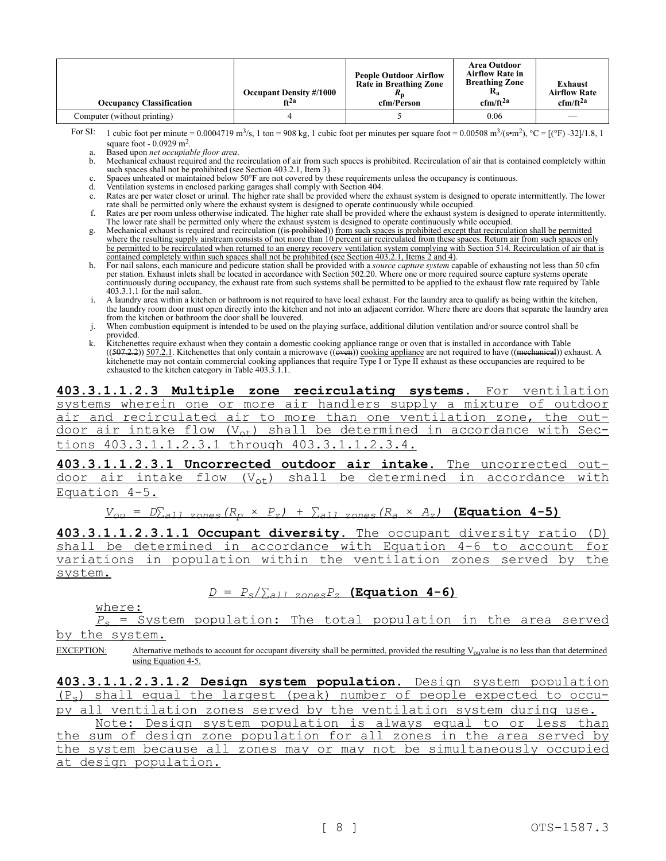| <b>Occupancy Classification</b> | <b>Occupant Density #/1000</b><br>$ft^{2a}$ | <b>People Outdoor Airflow</b><br>Rate in Breathing Zone<br>cfm/Person | Area Outdoor<br><b>Airflow Rate in</b><br><b>Breathing Zone</b><br>$R_{a}$<br>$cfm/ft^{2a}$ | <b>Exhaust</b><br><b>Airflow Rate</b><br>$cfm/ft^{2a}$ |
|---------------------------------|---------------------------------------------|-----------------------------------------------------------------------|---------------------------------------------------------------------------------------------|--------------------------------------------------------|
| Computer (without printing)     |                                             |                                                                       | 0.06                                                                                        | $\overline{\phantom{a}}$                               |

For SI: 1 cubic foot per minute = 0.0004719 m<sup>3</sup>/s, 1 ton = 908 kg, 1 cubic foot per minutes per square foot = 0.00508 m<sup>3</sup>/(s•m<sup>2</sup>), °C = [(°F) -32]/1.8, 1 square foot - 0.0929 m<sup>2</sup> .

a. Based upon *net occupiable floor area*.

b. Mechanical exhaust required and the recirculation of air from such spaces is prohibited. Recirculation of air that is contained completely within such spaces shall not be prohibited (see Section 403.2.1, Item 3).

c. Spaces unheated or maintained below 50°F are not covered by these requirements unless the occupancy is continuous.<br>
d. Ventilation systems in enclosed parking garages shall comply with Section 404.

d. Ventilation systems in enclosed parking garages shall comply with Section 404.

- e. Rates are per water closet or urinal. The higher rate shall be provided where the exhaust system is designed to operate intermittently. The lower rate shall be permitted only where the exhaust system is designed to operate continuously while occupied.
- f. Rates are per room unless otherwise indicated. The higher rate shall be provided where the exhaust system is designed to operate intermittently. The lower rate shall be permitted only where the exhaust system is designed to operate continuously while occupied.
- g. Mechanical exhaust is required and recirculation ((is prohibited)) from such spaces is prohibited except that recirculation shall be permitted where the resulting supply airstream consists of not more than 10 percent air recirculated from these spaces. Return air from such spaces only be permitted to be recirculated when returned to an energy recovery ventilation system complying with Section 514. Recirculation of air that is contained completely within such spaces shall not be prohibited (see Section 403.2.1, Items 2 and 4).
- h. For nail salons, each manicure and pedicure station shall be provided with a *source capture system* capable of exhausting not less than 50 cfm per station. Exhaust inlets shall be located in accordance with Section 502.20. Where one or more required source capture systems operate continuously during occupancy, the exhaust rate from such systems shall be permitted to be applied to the exhaust flow rate required by Table 403.3.1.1 for the nail salon.
- i. A laundry area within a kitchen or bathroom is not required to have local exhaust. For the laundry area to qualify as being within the kitchen, the laundry room door must open directly into the kitchen and not into an adjacent corridor. Where there are doors that separate the laundry area from the kitchen or bathroom the door shall be louvered.
- When combustion equipment is intended to be used on the playing surface, additional dilution ventilation and/or source control shall be provided.
- k. Kitchenettes require exhaust when they contain a domestic cooking appliance range or oven that is installed in accordance with Table  $((507.2.2))$  507.2.1. Kitchenettes that only contain a microwave  $((\text{even}))$  cooking appliance are not required to have  $((\text{mechanical}))$  exhaust. A kitchenette may not contain commercial cooking appliances that require Type I or Type II exhaust as these occupancies are required to be exhausted to the kitchen category in Table 403.3.1.1.

**403.3.1.1.2.3 Multiple zone recirculating systems.** For ventilation systems wherein one or more air handlers supply a mixture of outdoor air and recirculated air to more than one ventilation zone, the outdoor air intake flow  $(V_{\text{ot}})$  shall be determined in accordance with Sections 403.3.1.1.2.3.1 through 403.3.1.1.2.3.4.

**403.3.1.1.2.3.1 Uncorrected outdoor air intake.** The uncorrected outdoor air intake flow  $(V_{\text{ot}})$  shall be determined in accordance with Equation 4-5.

*Vou* = *D*∑*all zones(R<sup>p</sup>* × *Pz)* + ∑*all zones(R<sup>a</sup>* × *Az)* **(Equation 4-5)**

**403.3.1.1.2.3.1.1 Occupant diversity.** The occupant diversity ratio (D) shall be determined in accordance with Equation 4-6 to account for variations in population within the ventilation zones served by the system.

### $D = P_s/\sum_{a}P_z$  **(Equation 4-6)**

where:

*P<sup>s</sup>* = System population: The total population in the area served by the system.

EXCEPTION: Alternative methods to account for occupant diversity shall be permitted, provided the resulting  $V_{\text{ou}}$ value is no less than that determined using Equation 4-5.

**403.3.1.1.2.3.1.2 Design system population.** Design system population  $(P_s)$  shall equal the largest (peak) number of people expected to occu-<br>py all ventilation zones served by the ventilation system during use. ventilation zones served by the ventilation system during use.

Note: Design system population is always equal to or less than the sum of design zone population for all zones in the area served by the system because all zones may or may not be simultaneously occupied at design population.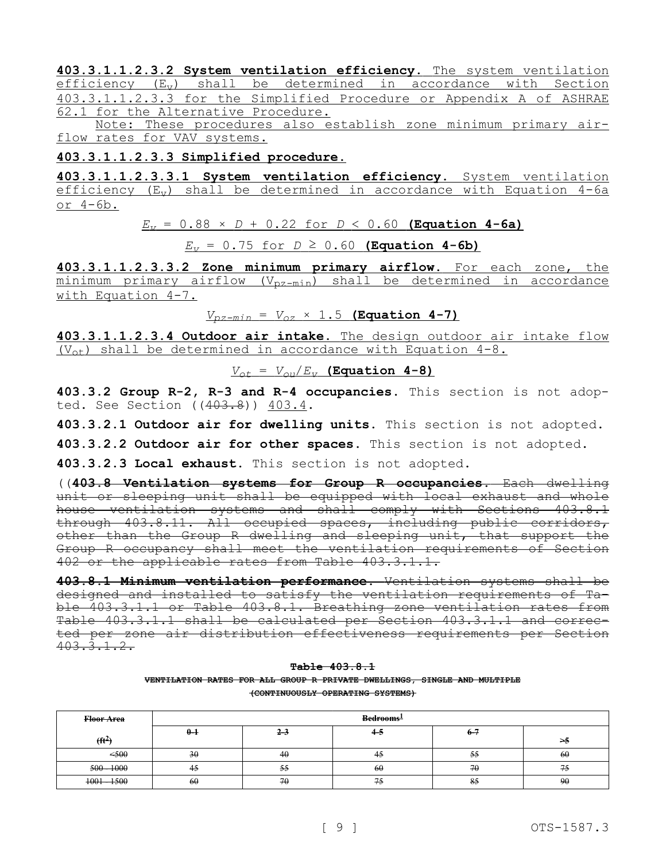**403.3.1.1.2.3.2 System ventilation efficiency.** The system ventilation  $efficiency$   $(E_v)$  shall be determined in accordance with Section 403.3.1.1.2.3.3 for the Simplified Procedure or Appendix A of ASHRAE 62.1 for the Alternative Procedure.

Note: These procedures also establish zone minimum primary airflow rates for VAV systems.

### **403.3.1.1.2.3.3 Simplified procedure.**

**403.3.1.1.2.3.3.1 System ventilation efficiency.** System ventilation efficiency  $(E_v)$  shall be determined in accordance with Equation 4-6a or 4-6b.

 $E_V = 0.88 \times D + 0.22$  for  $D < 0.60$  (Equation 4-6a)

 $E_v = 0.75$  for  $D \ge 0.60$  (Equation 4-6b)

**403.3.1.1.2.3.3.2 Zone minimum primary airflow.** For each zone, the  $minimum$  primary airflow  $(V_{pz-min})$  shall be determined in accordance with Equation 4-7.

 $V_{pz-min} = V_{oz} \times 1.5$  (Equation 4-7)

**403.3.1.1.2.3.4 Outdoor air intake.** The design outdoor air intake flow  $(V_{\text{ot}})$  shall be determined in accordance with Equation 4-8.

 $V_{\text{ot}} = V_{\text{out}}/E_v$  (Equation 4-8)

**403.3.2 Group R-2, R-3 and R-4 occupancies.** This section is not adopted. See Section ((403.8)) 403.4.

**403.3.2.1 Outdoor air for dwelling units.** This section is not adopted.

**403.3.2.2 Outdoor air for other spaces.** This section is not adopted.

**403.3.2.3 Local exhaust.** This section is not adopted.

((**403.8 Ventilation systems for Group R occupancies.** Each dwelling unit or sleeping unit shall be equipped with local exhaust and whole house ventilation systems and shall comply with Sections 403.8.1 through 403.8.11. All occupied spaces, including public corridors, other than the Group R dwelling and sleeping unit, that support the Group R occupancy shall meet the ventilation requirements of Section 402 or the applicable rates from Table 403.3.1.1.

**403.8.1 Minimum ventilation performance.** Ventilation systems shall be designed and installed to satisfy the ventilation requirements of Table 403.3.1.1 or Table 403.8.1. Breathing zone ventilation rates from Table 403.3.1.1 shall be calculated per Section 403.3.1.1 and corrected per zone air distribution effectiveness requirements per Section 403.3.1.2.

#### **Table 403.8.1 VENTILATION RATES FOR ALL GROUP R PRIVATE DWELLINGS, SINGLE AND MULTIPLE (CONTINUOUSLY OPERATING SYSTEMS)**

| Floor Area    | Bedrooms <sup>1</sup> |         |    |         |    |  |
|---------------|-----------------------|---------|----|---------|----|--|
| $(f t^2)$     | $0 - 1$               | $2 - 3$ | 45 | $6 - 7$ | ≜< |  |
| <,600         | 30                    | 40      | ₩  | 55      | 60 |  |
| $500 - 1000$  | 45                    | 55      | 60 | 70      | 75 |  |
| $1001 - 1500$ | 60                    | 70      | 75 | 85      | 90 |  |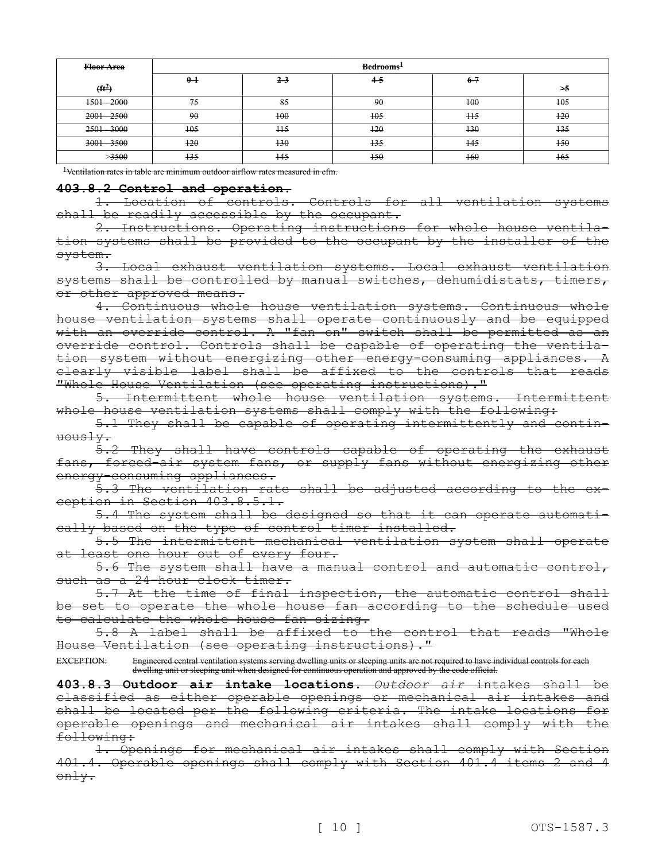| Floor Area    | Bedrooms <sup>1</sup> |                |        |                |          |  |
|---------------|-----------------------|----------------|--------|----------------|----------|--|
| $(f{t}^2)$    | $0-1$                 | $2 - 3$        | $4-5$  | $6 - 7$        | $\geq 5$ |  |
| $1501 - 2000$ | 75                    | 85             | 90     | $+00$          | $+0.5$   |  |
| $2001 - 2500$ | 90                    | $+00$          | $+0.5$ | H <sub>5</sub> | $+20$    |  |
| 2501 - 3000   | $+0.5$                | H <sub>5</sub> | $+20$  | $+30$          | $+35$    |  |
| $3001 - 3500$ | $+20$                 | $+30$          | $+35$  | $+45$          | $+50$    |  |
| >3500         | $+35$                 | $+45$          | $+50$  | $+60$          | $+65$    |  |

<sup>1</sup>Ventilation rates in table are minimum outdoor airflow rates measured in efm.

### **403.8.2 Control and operation.**

1. Location of controls. Controls for all ventilation systems shall be readily accessible by the occupant.

2. Instructions. Operating instructions for whole house ventilation systems shall be provided to the occupant by the installer of the system.

3. Local exhaust ventilation systems. Local exhaust ventilation systems shall be controlled by manual switches, dehumidistats, timers, or other approved means.

4. Continuous whole house ventilation systems. Continuous whole house ventilation systems shall operate continuously and be equipped with an override control. A "fan on" switch shall be permitted as an override control. Controls shall be capable of operating the ventilation system without energizing other energy-consuming appliances. A clearly visible label shall be affixed to the controls that reads "Whole House Ventilation (see operating instructions)."

5. Intermittent whole house ventilation systems. Intermittent whole house ventilation systems shall comply with the following:

5.1 They shall be capable of operating intermittently and continuously.

5.2 They shall have controls capable of operating the exhaust fans, forced-air system fans, or supply fans without energizing other energy-consuming appliances.

5.3 The ventilation rate shall be adjusted according to the exception in Section 403.8.5.1.

5.4 The system shall be designed so that it can operate automatically based on the type of control timer installed.

5.5 The intermittent mechanical ventilation system shall operate at least one hour out of every four.

5.6 The system shall have a manual control and automatic control, such as a 24-hour clock timer.

5.7 At the time of final inspection, the automatic control shall be set to operate the whole house fan according to the schedule used to calculate the whole house fan sizing.

5.8 A label shall be affixed to the control that reads "Whole House Ventilation (see operating instructions)."

EXCEPTION: Engineered central ventilation systems serving dwelling units or sleeping units are not required to have individual controls for each dwelling unit or sleeping unit when designed for continuous operation and approved by the code official.

**403.8.3 Outdoor air intake locations.** *Outdoor air* intakes shall be classified as either operable openings or mechanical air intakes and shall be located per the following criteria. The intake locations for operable openings and mechanical air intakes shall comply with the following:

1. Openings for mechanical air intakes shall comply with Section 401.4. Operable openings shall comply with Section 401.4 items 2 and 4 only.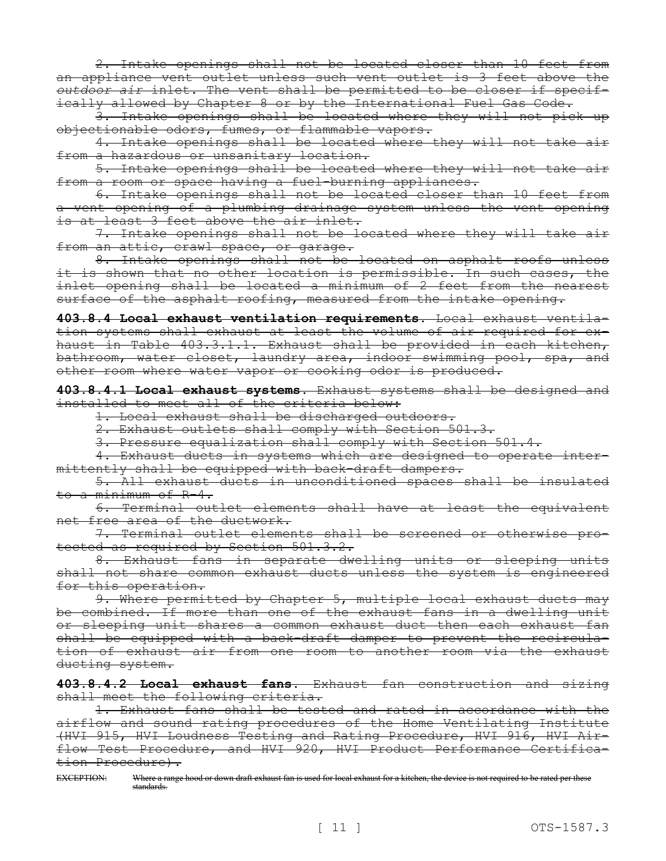2. Intake openings shall not be located closer than 10 feet from an appliance vent outlet unless such vent outlet is 3 feet above the *outdoor air* inlet. The vent shall be permitted to be closer if specifically allowed by Chapter 8 or by the International Fuel Gas Code.

3. Intake openings shall be located where they will not pick up objectionable odors, fumes, or flammable vapors.

4. Intake openings shall be located where they will not take air from a hazardous or unsanitary location.

5. Intake openings shall be located where they will not take air from a room or space having a fuel-burning appliances.

6. Intake openings shall not be located closer than 10 feet from vent opening of a plumbing drainage system unless the vent opening is at least 3 feet above the air inlet.

7. Intake openings shall not be located where they will take air from an attic, crawl space, or garage.

8. Intake openings shall not be located on asphalt roofs unless it is shown that no other location is permissible. In such cases, the inlet opening shall be located a minimum of 2 feet from the nearest surface of the asphalt roofing, measured from the intake opening.

**403.8.4 Local exhaust ventilation requirements.** Local exhaust ventilation systems shall exhaust at least the volume of air required for exhaust in Table 403.3.1.1. Exhaust shall be provided in each kitchen, bathroom, water closet, laundry area, indoor swimming pool, spa, and other room where water vapor or cooking odor is produced.

**403.8.4.1 Local exhaust systems.** Exhaust systems shall be designed and installed to meet all of the criteria below:

1. Local exhaust shall be discharged outdoors.

2. Exhaust outlets shall comply with Section 501.3.

3. Pressure equalization shall comply with Section 501.4.

4. Exhaust ducts in systems which are designed to operate intermittently shall be equipped with back-draft dampers.

5. All exhaust ducts in unconditioned spaces shall be insulated to a minimum of R-4.

6. Terminal outlet elements shall have at least the equivalent net free area of the ductwork.

7. Terminal outlet elements shall be screened or otherwise protected as required by Section 501.3.2.

8. Exhaust fans in separate dwelling units or sleeping units shall not share common exhaust ducts unless the system is engineered for this operation.

9. Where permitted by Chapter 5, multiple local exhaust ducts may be combined. If more than one of the exhaust fans in a dwelling unit or sleeping unit shares a common exhaust duct then each exhaust fan shall be equipped with a back-draft damper to prevent the recirculation of exhaust air from one room to another room via the exhaust ducting system.

**403.8.4.2 Local exhaust fans.** Exhaust fan construction and sizing shall meet the following criteria.

1. Exhaust fans shall be tested and rated in accordance with the airflow and sound rating procedures of the Home Ventilating Institute (HVI 915, HVI Loudness Testing and Rating Procedure, HVI 916, HVI Airflow Test Procedure, and HVI 920, HVI Product Performance Certification Procedure).

EXCEPTION: Where a range hood or down draft exhaust fan is used for local exhaust for a kitchen, the device is not required to be rated per these standards.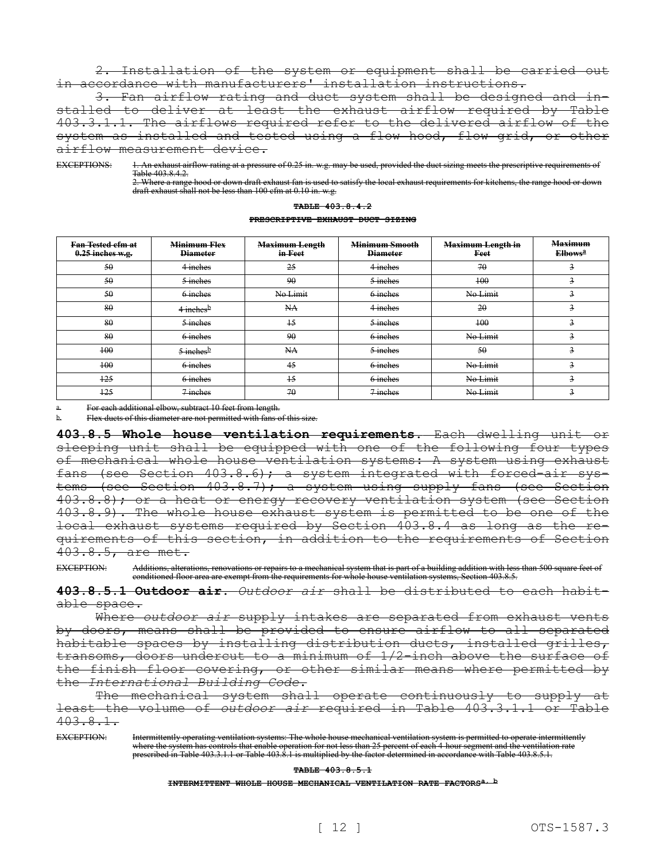2. Installation of the system or equipment shall be carried out in accordance with manufacturers' installation instructions.

3. Fan airflow rating and duct system shall be designed and installed to deliver at least the exhaust airflow required by Table 403.3.1.1. The airflows required refer to the delivered airflow of the system as installed and tested using a flow hood, flow grid, or other airflow measurement device.

EXCEPTIONS: 1. An exhaust airflow rating at a pressure of 0.25 in. w.g. may be used, provided the duct sizing meets the prescriptive requirements of Table 403.8.4.2.

**TABLE 403.8.4.2**

2. Where a range hood or down draft exhaust fan is used to satisfy the local exhaust requirements for kitchens, the range hood or down draft exhaust shall not be less than 100 cfm at 0.10 in. w.g.

| PRESCRIPTIVE EXHAUST DUCT SIZING               |                                        |                                  |                                   |                                  |                                       |  |  |  |
|------------------------------------------------|----------------------------------------|----------------------------------|-----------------------------------|----------------------------------|---------------------------------------|--|--|--|
| <b>Fan-Tested efm at</b><br>$0.25$ inches w.g. | <b>Minimum Flex</b><br><b>Diameter</b> | <b>Maximum Length</b><br>in Feet | Minimum Smooth<br><b>Diameter</b> | <b>Maximum Length in</b><br>Feet | <b>Maximum</b><br>Elbows <sup>a</sup> |  |  |  |
| 50                                             | 4 inches                               | 25                               | 4 inches                          | 70                               | $\overline{3}$                        |  |  |  |
| 50                                             | $5$ inches                             | 90                               | $5$ inches                        | $+00$                            | $\overline{\mathbf{z}}$               |  |  |  |
| 50                                             | 6 inches                               | No Limit                         | 6 inches                          | No Limit                         | $\overline{3}$                        |  |  |  |
| 80                                             | $4$ inches <sup>b</sup>                | HA                               | 4 inches                          | 20                               | $\overline{3}$                        |  |  |  |
| 80                                             | $5$ inches                             | $+5$                             | $5$ inches                        | $+00$                            | $\overline{\mathbf{z}}$               |  |  |  |
| 80                                             | 6-inches                               | 90                               | 6 inches                          | No Limit                         | $\overline{\mathbf{3}}$               |  |  |  |
| $+00$                                          | $5$ inches <sup>b</sup>                | HA                               | 5 inches                          | 50                               | $\overline{3}$                        |  |  |  |
| $+00$                                          | 6 inches                               | 45                               | 6 inches                          | No Limit                         | $\overline{3}$                        |  |  |  |
| $+25$                                          | 6-inches                               | $+5$                             | 6-inches                          | No Limit                         | $\overline{\mathbf{z}}$               |  |  |  |
| $+25$                                          | $7$ inches                             | 70                               | $7$ inches                        | No Limit                         | $\overline{\mathbf{3}}$               |  |  |  |

For each additional elbow, subtract 10 feet from length.

Flex ducts of this diameter are not permitted with fans of this size.

**403.8.5 Whole house ventilation requirements.** Each dwelling unit or sleeping unit shall be equipped with one of the following four types of mechanical whole house ventilation systems: A system using exhaust fans (see Section 403.8.6); a system integrated with forced-air systems (see Section 403.8.7); a system using supply fans (see Section 403.8.8); or a heat or energy recovery ventilation system (see Section 403.8.9). The whole house exhaust system is permitted to be one of the local exhaust systems required by Section 403.8.4 as long as the requirements of this section, in addition to the requirements of Section 403.8.5, are met.

EXCEPTION: Additions, alterations, renovations or repairs to a mechanical system that is part of a building addition with less than 500 square feet of conditioned floor area are exempt from the requirements for whole house ventilation systems, Section 403.8.5.

**403.8.5.1 Outdoor air.** *Outdoor air* shall be distributed to each habitable space.

Where *outdoor air* supply intakes are separated from exhaust vents by doors, means shall be provided to ensure airflow to all separated habitable spaces by installing distribution ducts, installed grilles, transoms, doors undercut to a minimum of 1/2-inch above the surface of the finish floor covering, or other similar means where permitted by the *International Building Code*.

The mechanical system shall operate continuously to supply at least the volume of *outdoor air* required in Table 403.3.1.1 or Table  $403.8.1.$ 

EXCEPTION: Intermittently operating ventilation systems: The whole house mechanical ventilation system is permitted to operate intermittently where the system has controls that enable operation for not less than 25 percent of each 4-hour segment and the ventilation rate prescribed in Table 403.3.1.1 or Table 403.8.1 is multiplied by the factor determined in accordance with Table 403.8.5.1.

#### **TABLE 403.8.5.1**

**INTERMITTENT WHOLE HOUSE MECHANICAL VENTILATION RATE FACTORSa, b**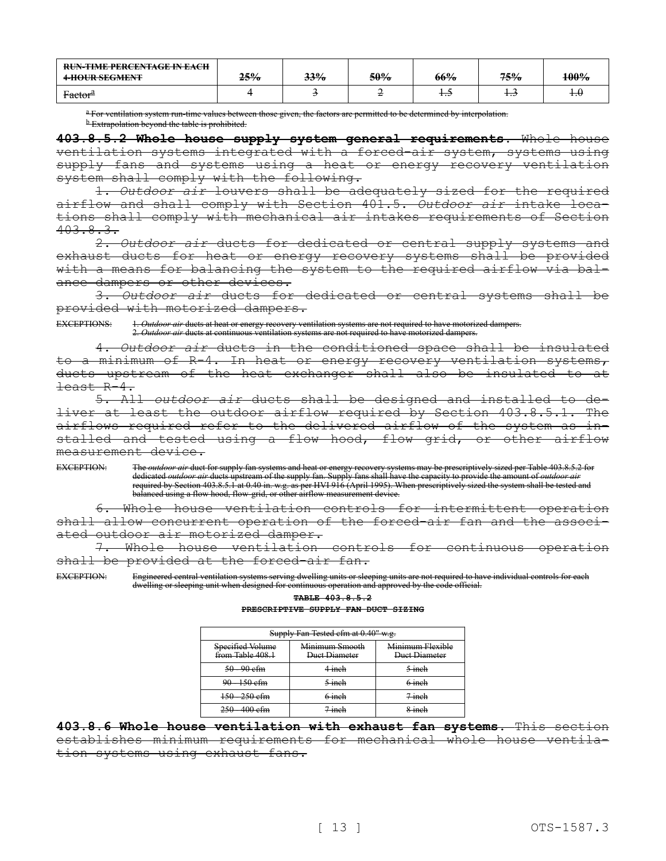| <b>RUN-TIME PERCENTAGE IN EACH</b><br><del>4-HOUR SEGMENT</del> | <del>25%</del> | 33% | 50% | 66% | 75%  | 100%  |
|-----------------------------------------------------------------|----------------|-----|-----|-----|------|-------|
| Factor <sup>a</sup>                                             |                |     |     | 1.0 | ر. 1 | ᠊᠇.᠊ᡶ |

<sup>a</sup> For ventilation system run-time values between those given, the factors are permitted to be determined by interpolation. **b** Extrapolation beyond the table is prohibited.

**403.8.5.2 Whole house supply system general requirements.** Whole house ventilation systems integrated with a forced-air system, systems using supply fans and systems using a heat or energy recovery ventilation system shall comply with the following.

1. *Outdoor air* louvers shall be adequately sized for the required airflow and shall comply with Section 401.5. *Outdoor air* intake locations shall comply with mechanical air intakes requirements of Section  $403.8.3.$ 

2. *Outdoor air* ducts for dedicated or central supply systems and exhaust ducts for heat or energy recovery systems shall be provided with a means for balancing the system to the required airflow via balance dampers or other devices.

3. *Outdoor air* ducts for dedicated or central systems shall be provided with motorized dampers.

EXCEPTIONS: 1. *Outdoor air* ducts at heat or energy recovery ventilation systems are not required to have motorized dampers. 2. *Outdoor air* ducts at continuous ventilation systems are not required to have motorized dampers.

4. *Outdoor air* ducts in the conditioned space shall be insulated to a minimum of R-4. In heat or energy recovery ventilation systems, ducts upstream of the heat exchanger shall also be insulated to at least R-4.

5. All *outdoor air* ducts shall be designed and installed to deliver at least the outdoor airflow required by Section 403.8.5.1. The airflows required refer to the delivered airflow of the system as installed and tested using a flow hood, flow grid, or other airflow measurement device.

EXCEPTION: The *outdoor air* duct for supply fan systems and heat or energy recovery systems may be prescriptively sized per Table 403.8.5.2 for dedicated *outdoor air* ducts upstream of the supply fan. Supply fans shall have the capacity to provide the amount of *outdoor air*  required by Section 403.8.5.1 at 0.40 in. w.g. as per HVI 916 (April 1995). When prescriptively sized the system shall be tested and balanced using a flow hood, flow-grid, or other airflow measurement device.

Whole house ventilation controls for intermittent operation shall allow concurrent operation of the forced-air fan and the associated outdoor air motorized damper.

7. Whole house ventilation controls for continuous operation shall be provided at the forced-air fan.

EXCEPTION: Engineered central ventilation systems serving dwelling units or sleeping units are not required to have individual controls for each dwelling or sleeping unit when designed for continuous operation and approved by the code official.

**TABLE 403.8.5.2**

#### **PRESCRIPTIVE SUPPLY FAN DUCT SIZING**

| Supply Fan Tested cfm at 0.40" w.g.  |                                 |                                   |  |  |  |  |  |
|--------------------------------------|---------------------------------|-----------------------------------|--|--|--|--|--|
| Specified Volume<br>from Table 408.1 | Minimum Smooth<br>Duct Diameter | Minimum Flexible<br>Duct Diameter |  |  |  |  |  |
| $50 - 90$ efm                        | $4$ inch                        | $5$ inch                          |  |  |  |  |  |
| $90 - 150$ efm                       | $5$ inch                        | $6$ inch                          |  |  |  |  |  |
| $150 - 250$ efm                      | $6$ inch                        | $7$ inch                          |  |  |  |  |  |
| $250 - 400$ cfm                      | <del>7 inch</del>               | d inch                            |  |  |  |  |  |

**403.8.6 Whole house ventilation with exhaust fan systems.** This section establishes minimum requirements for mechanical whole house ventilation systems using exhaust fans.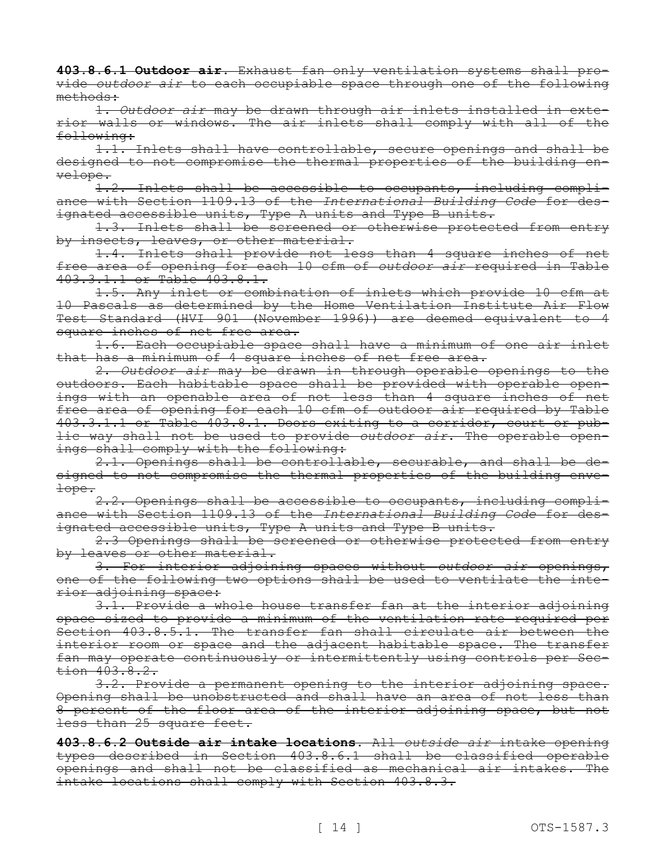**403.8.6.1 Outdoor air.** Exhaust fan only ventilation systems shall provide *outdoor air* to each occupiable space through one of the following methods:

1. *Outdoor air* may be drawn through air inlets installed in exterior walls or windows. The air inlets shall comply with all of the following:

1.1. Inlets shall have controllable, secure openings and shall be designed to not compromise the thermal properties of the building envelope.

1.2. Inlets shall be accessible to occupants, including compliance with Section 1109.13 of the *International Building Code* for designated accessible units, Type A units and Type B units.

1.3. Inlets shall be screened or otherwise protected from entry by insects, leaves, or other material.

1.4. Inlets shall provide not less than 4 square inches of net free area of opening for each 10 cfm of *outdoor air* required in Table 403.3.1.1 or Table 403.8.1.

1.5. Any inlet or combination of inlets which provide 10 cfm at 10 Pascals as determined by the Home Ventilation Institute Air Flow Test Standard (HVI 901 (November 1996)) are deemed equivalent to 4 square inches of net free area.

1.6. Each occupiable space shall have a minimum of one air inlet that has a minimum of 4 square inches of net free area.

2. *Outdoor air* may be drawn in through operable openings to the outdoors. Each habitable space shall be provided with operable openings with an openable area of not less than 4 square inches of net free area of opening for each 10 cfm of outdoor air required by Table 403.3.1.1 or Table 403.8.1. Doors exiting to a corridor, court or public way shall not be used to provide *outdoor air*. The operable openings shall comply with the following:

2.1. Openings shall be controllable, securable, and shall be designed to not compromise the thermal properties of the building envelope.

2.2. Openings shall be accessible to occupants, including compliance with Section 1109.13 of the *International Building Code* for designated accessible units, Type A units and Type B units.

2.3 Openings shall be screened or otherwise protected from entry by leaves or other material.

3. For interior adjoining spaces without *outdoor air* openings, one of the following two options shall be used to ventilate the interior adjoining space:

3.1. Provide a whole house transfer fan at the interior adjoining space sized to provide a minimum of the ventilation rate required per Section 403.8.5.1. The transfer fan shall circulate air between the interior room or space and the adjacent habitable space. The transfer fan may operate continuously or intermittently using controls per Section 403.8.2.

3.2. Provide a permanent opening to the interior adjoining space. Opening shall be unobstructed and shall have an area of not less than 8 percent of the floor area of the interior adjoining space, but not less than 25 square feet.

**403.8.6.2 Outside air intake locations.** All *outside air* intake opening types described in Section 403.8.6.1 shall be classified operable openings and shall not be classified as mechanical air intakes. The intake locations shall comply with Section 403.8.3.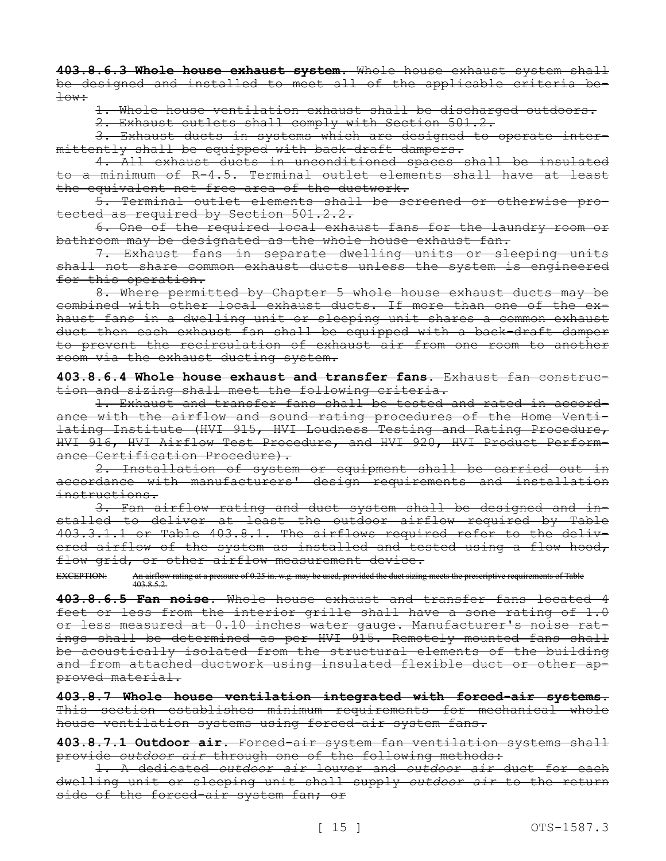**403.8.6.3 Whole house exhaust system.** Whole house exhaust system shall be designed and installed to meet all of the applicable criteria below:

1. Whole house ventilation exhaust shall be discharged outdoors.

2. Exhaust outlets shall comply with Section 501.2.

3. Exhaust ducts in systems which are designed to operate intermittently shall be equipped with back-draft dampers.

4. All exhaust ducts in unconditioned spaces shall be insulated to a minimum of R-4.5. Terminal outlet elements shall have at least the equivalent net free area of the ductwork.

5. Terminal outlet elements shall be screened or otherwise protected as required by Section 501.2.2.

6. One of the required local exhaust fans for the laundry room or bathroom may be designated as the whole house exhaust fan.

7. Exhaust fans in separate dwelling units or sleeping units shall not share common exhaust ducts unless the system is engineered for this operation.

8. Where permitted by Chapter 5 whole house exhaust ducts may be combined with other local exhaust ducts. If more than one of the exhaust fans in a dwelling unit or sleeping unit shares a common exhaust duct then each exhaust fan shall be equipped with a back-draft damper to prevent the recirculation of exhaust air from one room to another room via the exhaust ducting system.

**403.8.6.4 Whole house exhaust and transfer fans.** Exhaust fan construction and sizing shall meet the following criteria.

1. Exhaust and transfer fans shall be tested and rated in accordance with the airflow and sound rating procedures of the Home Ventilating Institute (HVI 915, HVI Loudness Testing and Rating Procedure, HVI 916, HVI Airflow Test Procedure, and HVI 920, HVI Product Performance Certification Procedure).

2. Installation of system or equipment shall be carried out in accordance with manufacturers' design requirements and installation instructions.

3. Fan airflow rating and duct system shall be designed and installed to deliver at least the outdoor airflow required by Table 403.3.1.1 or Table 403.8.1. The airflows required refer to the delivered airflow of the system as installed and tested using a flow hood, flow grid, or other airflow measurement device.

EXCEPTION: An airflow rating at a pressure of 0.25 in. w.g. may be used, provided the duct sizing meets the prescriptive requirements of Table 403.8.5.2.

**403.8.6.5 Fan noise.** Whole house exhaust and transfer fans located 4 feet or less from the interior grille shall have a sone rating of 1.0 or less measured at 0.10 inches water gauge. Manufacturer's noise ratings shall be determined as per HVI 915. Remotely mounted fans shall be acoustically isolated from the structural elements of the building and from attached ductwork using insulated flexible duct or other approved material.

**403.8.7 Whole house ventilation integrated with forced-air systems.**  This section establishes minimum requirements for mechanical whole house ventilation systems using forced-air system fans.

**403.8.7.1 Outdoor air.** Forced-air system fan ventilation systems shall provide *outdoor air* through one of the following methods:

1. A dedicated *outdoor air* louver and *outdoor air* duct for each dwelling unit or sleeping unit shall supply *outdoor air* to the return side of the forced-air system fan; or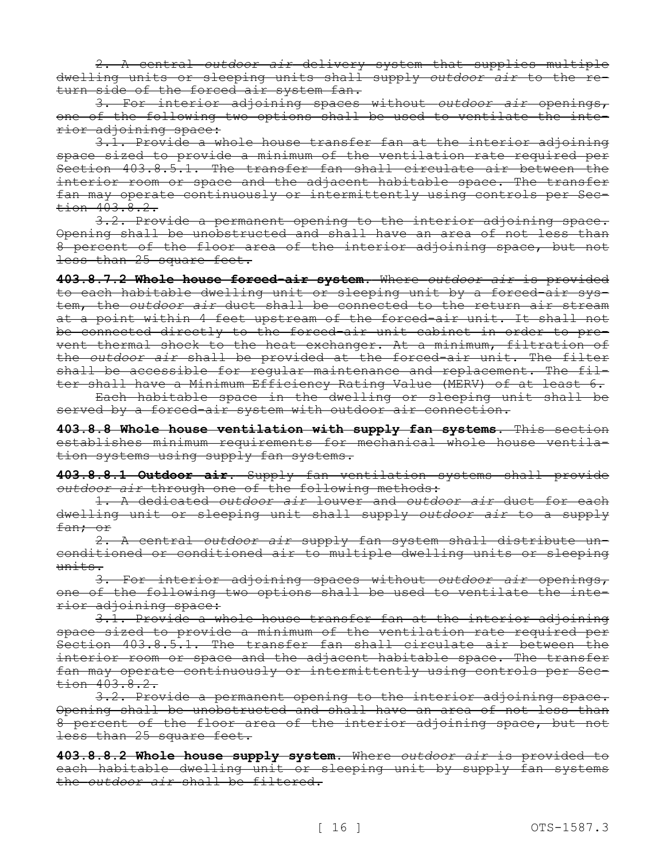2. A central *outdoor air* delivery system that supplies multiple dwelling units or sleeping units shall supply *outdoor air* to the return side of the forced air system fan.

3. For interior adjoining spaces without *outdoor air* openings, one of the following two options shall be used to ventilate the interior adjoining space:

3.1. Provide a whole house transfer fan at the interior adjoining space sized to provide a minimum of the ventilation rate required per Section 403.8.5.1. The transfer fan shall circulate air between the interior room or space and the adjacent habitable space. The transfer fan may operate continuously or intermittently using controls per Section 403.8.2.

3.2. Provide a permanent opening to the interior adjoining space. Opening shall be unobstructed and shall have an area of not less than 8 percent of the floor area of the interior adjoining space, but not less than 25 square feet.

**403.8.7.2 Whole house forced-air system.** Where *outdoor air* is provided to each habitable dwelling unit or sleeping unit by a forced-air system, the *outdoor air* duct shall be connected to the return air stream at a point within 4 feet upstream of the forced-air unit. It shall not be connected directly to the forced-air unit cabinet in order to prevent thermal shock to the heat exchanger. At a minimum, filtration of the *outdoor air* shall be provided at the forced-air unit. The filter shall be accessible for regular maintenance and replacement. The filter shall have a Minimum Efficiency Rating Value (MERV) of at least 6.

Each habitable space in the dwelling or sleeping unit shall be served by a forced-air system with outdoor air connection.

**403.8.8 Whole house ventilation with supply fan systems.** This section establishes minimum requirements for mechanical whole house ventilation systems using supply fan systems.

**403.8.8.1 Outdoor air.** Supply fan ventilation systems shall provide *outdoor air* through one of the following methods:

1. A dedicated *outdoor air* louver and *outdoor air* duct for each dwelling unit or sleeping unit shall supply *outdoor air* to a supply fan; or

2. A central *outdoor air* supply fan system shall distribute unconditioned or conditioned air to multiple dwelling units or sleeping units.

3. For interior adjoining spaces without *outdoor air* openings, one of the following two options shall be used to ventilate the interior adjoining space:

3.1. Provide a whole house transfer fan at the interior adjoining space sized to provide a minimum of the ventilation rate required per Section 403.8.5.1. The transfer fan shall circulate air between the interior room or space and the adjacent habitable space. The transfer fan may operate continuously or intermittently using controls per Section 403.8.2.

3.2. Provide a permanent opening to the interior adjoining space. Opening shall be unobstructed and shall have an area of not less than 8 percent of the floor area of the interior adjoining space, but not less than 25 square feet.

**403.8.8.2 Whole house supply system.** Where *outdoor air* is provided to each habitable dwelling unit or sleeping unit by supply fan systems the *outdoor air* shall be filtered.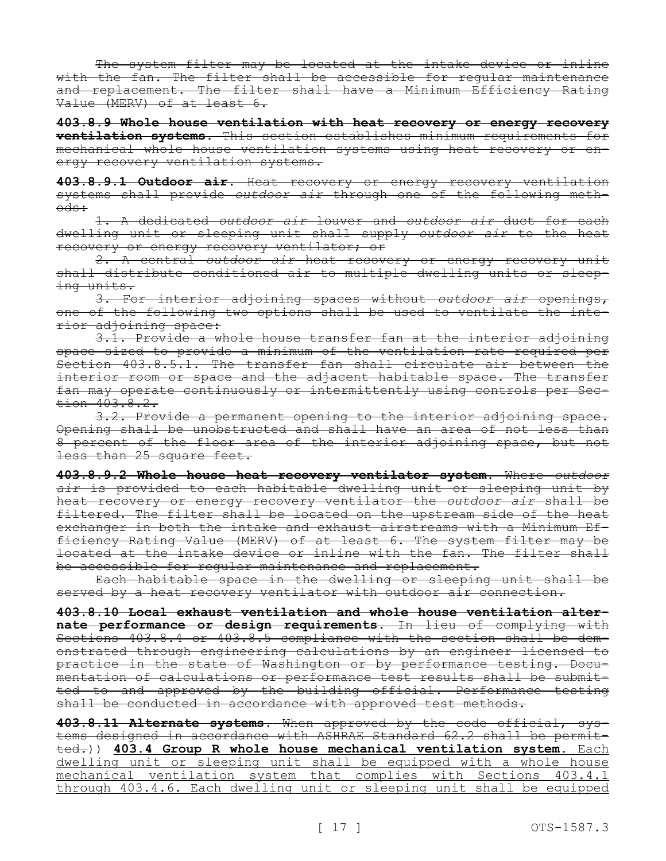The system filter may be located at the intake device or inline with the fan. The filter shall be accessible for regular maintenance and replacement. The filter shall have a Minimum Efficiency Rating Value (MERV) of at least 6.

**403.8.9 Whole house ventilation with heat recovery or energy recovery ventilation systems.** This section establishes minimum requirements for mechanical whole house ventilation systems using heat recovery or energy recovery ventilation systems.

**403.8.9.1 Outdoor air.** Heat recovery or energy recovery ventilation systems shall provide *outdoor air* through one of the following methods:

1. A dedicated *outdoor air* louver and *outdoor air* duct for each dwelling unit or sleeping unit shall supply *outdoor air* to the heat recovery or energy recovery ventilator; or

2. A central *outdoor air* heat recovery or energy recovery unit shall distribute conditioned air to multiple dwelling units or sleeping units.

3. For interior adjoining spaces without *outdoor air* openings, one of the following two options shall be used to ventilate the interior adjoining space:

3.1. Provide a whole house transfer fan at the interior adjoining space sized to provide a minimum of the ventilation rate required per Section 403.8.5.1. The transfer fan shall circulate air between the interior room or space and the adjacent habitable space. The transfer fan may operate continuously or intermittently using controls per Sec $tion$  403.8.2.

3.2. Provide a permanent opening to the interior adjoining space. Opening shall be unobstructed and shall have an area of not less than 8 percent of the floor area of the interior adjoining space, but not less than 25 square feet.

**403.8.9.2 Whole house heat recovery ventilator system.** Where *outdoor air* is provided to each habitable dwelling unit or sleeping unit by heat recovery or energy recovery ventilator the *outdoor air* shall be filtered. The filter shall be located on the upstream side of the heat exchanger in both the intake and exhaust airstreams with a Minimum Efficiency Rating Value (MERV) of at least 6. The system filter may be located at the intake device or inline with the fan. The filter shall be accessible for regular maintenance and replacement.

Each habitable space in the dwelling or sleeping unit shall be served by a heat recovery ventilator with outdoor air connection.

**403.8.10 Local exhaust ventilation and whole house ventilation alternate performance or design requirements.** In lieu of complying with Sections 403.8.4 or 403.8.5 compliance with the section shall be demonstrated through engineering calculations by an engineer licensed to practice in the state of Washington or by performance testing. Documentation of calculations or performance test results shall be submitted to and approved by the building official. Performance testing shall be conducted in accordance with approved test methods.

**403.8.11 Alternate systems.** When approved by the code official, systems designed in accordance with ASHRAE Standard 62.2 shall be permitted.)) **403.4 Group R whole house mechanical ventilation system.** Each dwelling unit or sleeping unit shall be equipped with a whole house mechanical ventilation system that complies with Sections 403.4.1 through 403.4.6. Each dwelling unit or sleeping unit shall be equipped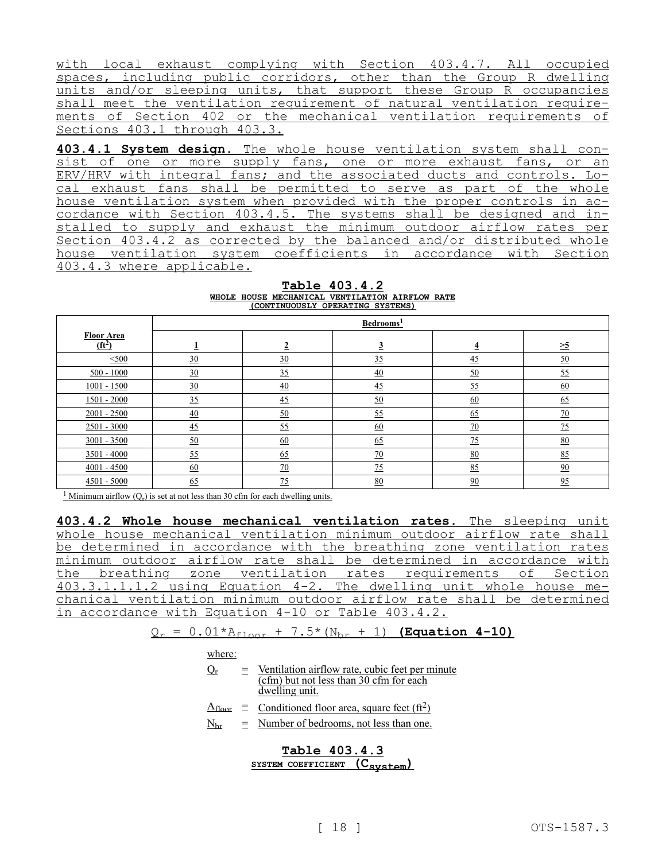with local exhaust complying with Section 403.4.7. All occupied spaces, including public corridors, other than the Group R dwelling units and/or sleeping units, that support these Group R occupancies shall meet the ventilation requirement of natural ventilation requirements of Section 402 or the mechanical ventilation requirements of Sections 403.1 through 403.3.

**403.4.1 System design.** The whole house ventilation system shall consist of one or more supply fans, one or more exhaust fans, or an ERV/HRV with integral fans; and the associated ducts and controls. Local exhaust fans shall be permitted to serve as part of the whole house ventilation system when provided with the proper controls in accordance with Section 403.4.5. The systems shall be designed and installed to supply and exhaust the minimum outdoor airflow rates per Section 403.4.2 as corrected by the balanced and/or distributed whole house ventilation system coefficients in accordance with Section 403.4.3 where applicable.

**Table 403.4.2 WHOLE HOUSE MECHANICAL VENTILATION AIRFLOW RATE (CONTINUOUSLY OPERATING SYSTEMS)**

|                               | Bedrooms <sup>1</sup> |                  |                  |                  |                  |  |  |
|-------------------------------|-----------------------|------------------|------------------|------------------|------------------|--|--|
| <b>Floor Area</b><br>$(ft^2)$ | Ŧ                     | $\overline{2}$   | $\overline{3}$   | $\overline{4}$   | $\geq 5$         |  |  |
| $\leq 500$                    | 30                    | 30               | 35               | $\overline{45}$  | $\underline{50}$ |  |  |
| $500 - 1000$                  | 30                    | 35               | $\underline{40}$ | $\underline{50}$ | 55               |  |  |
| $1001 - 1500$                 | $\underline{30}$      | $\overline{40}$  | 45               | 55               | $\underline{60}$ |  |  |
| $1501 - 2000$                 | 35                    | 45               | 50               | 60               | 65               |  |  |
| $2001 - 2500$                 | $\overline{40}$       | $\underline{50}$ | 55               | 65               | $\underline{70}$ |  |  |
| $2501 - 3000$                 | 45                    | 55               | $\underline{60}$ | $\overline{20}$  | 75               |  |  |
| $3001 - 3500$                 | 50                    | $\underline{60}$ | 65               | 75               | 80               |  |  |
| $3501 - 4000$                 | 55                    | $\underline{65}$ | 70               | 80               | 85               |  |  |
| $4001 - 4500$                 | $\underline{60}$      | $\overline{20}$  | $\frac{75}{2}$   | 85               | 90               |  |  |
| $4501 - 5000$                 | 65                    | $\overline{25}$  | 80               | 90               | 95               |  |  |

<sup>1</sup> Minimum airflow  $(Q_r)$  is set at not less than 30 cfm for each dwelling units.

**403.4.2 Whole house mechanical ventilation rates.** The sleeping unit whole house mechanical ventilation minimum outdoor airflow rate shall be determined in accordance with the breathing zone ventilation rates minimum outdoor airflow rate shall be determined in accordance with the breathing zone ventilation rates requirements of Section 403.3.1.1.1.2 using Equation 4-2. The dwelling unit whole house mechanical ventilation minimum outdoor airflow rate shall be determined in accordance with Equation 4-10 or Table 403.4.2.

$$
Q_r = 0.01*A_{floor} + 7.5*(N_{br} + 1)
$$
 (Equation 4-10)

where:

- $Q_{r}$  = Ventilation airflow rate, cubic feet per minute (cfm) but not less than 30 cfm for each dwelling unit.
- $A_{\text{floor}} \equiv$  Conditioned floor area, square feet (ft<sup>2</sup>)
- $N<sub>br</sub> = Number of bedrooms, not less than one.$

**Table 403.4.3 SYSTEM COEFFICIENT (Csystem)**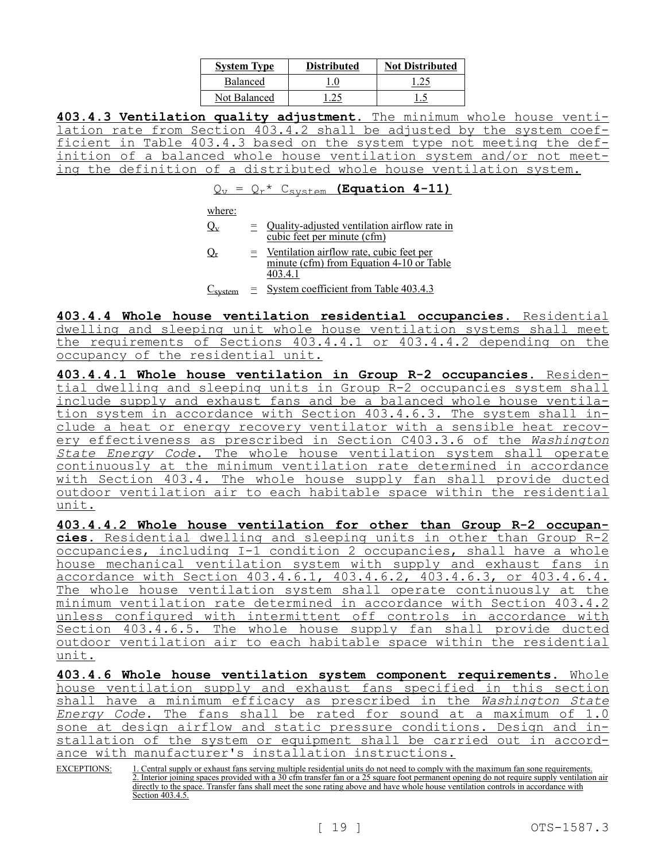| <b>System Type</b> | <b>Distributed</b> | <b>Not Distributed</b> |
|--------------------|--------------------|------------------------|
| <b>Balanced</b>    |                    |                        |
| Not Balanced       |                    |                        |

**403.4.3 Ventilation quality adjustment.** The minimum whole house ventilation rate from Section 403.4.2 shall be adjusted by the system coefficient in Table 403.4.3 based on the system type not meeting the definition of a balanced whole house ventilation system and/or not meeting the definition of a distributed whole house ventilation system.

 $Q_v = Q_r * C_{\text{system}}$  (Equation 4-11)

where:

- $Q_v$  = Quality-adjusted ventilation airflow rate in cubic feet per minute (cfm)
- $Q_r$  = Ventilation airflow rate, cubic feet per minute (cfm) from Equation 4-10 or Table 403.4.1
- $C<sub>system</sub> = System coefficient from Table 403.4.3$

**403.4.4 Whole house ventilation residential occupancies.** Residential dwelling and sleeping unit whole house ventilation systems shall meet the requirements of Sections 403.4.4.1 or 403.4.4.2 depending on the occupancy of the residential unit.

**403.4.4.1 Whole house ventilation in Group R-2 occupancies.** Residential dwelling and sleeping units in Group R-2 occupancies system shall include supply and exhaust fans and be a balanced whole house ventilation system in accordance with Section 403.4.6.3. The system shall include a heat or energy recovery ventilator with a sensible heat recovery effectiveness as prescribed in Section C403.3.6 of the *Washington State Energy Code*. The whole house ventilation system shall operate continuously at the minimum ventilation rate determined in accordance with Section 403.4. The whole house supply fan shall provide ducted outdoor ventilation air to each habitable space within the residential unit.

**403.4.4.2 Whole house ventilation for other than Group R-2 occupancies.** Residential dwelling and sleeping units in other than Group R-2 occupancies, including I-1 condition 2 occupancies, shall have a whole house mechanical ventilation system with supply and exhaust fans in accordance with Section 403.4.6.1, 403.4.6.2, 403.4.6.3, or 403.4.6.4. The whole house ventilation system shall operate continuously at the minimum ventilation rate determined in accordance with Section 403.4.2 unless configured with intermittent off controls in accordance with Section 403.4.6.5. The whole house supply fan shall provide ducted outdoor ventilation air to each habitable space within the residential unit.

**403.4.6 Whole house ventilation system component requirements.** Whole house ventilation supply and exhaust fans specified in this section shall have a minimum efficacy as prescribed in the *Washington State Energy Code*. The fans shall be rated for sound at a maximum of 1.0 sone at design airflow and static pressure conditions. Design and installation of the system or equipment shall be carried out in accordance with manufacturer's installation instructions.

EXCEPTIONS: 1. Central supply or exhaust fans serving multiple residential units do not need to comply with the maximum fan sone requirements. 2. Interior joining spaces provided with a 30 cfm transfer fan or a 25 square foot permanent opening do not require supply ventilation air directly to the space. Transfer fans shall meet the sone rating above and have whole house ventilation controls in accordance with Section 403.4.5.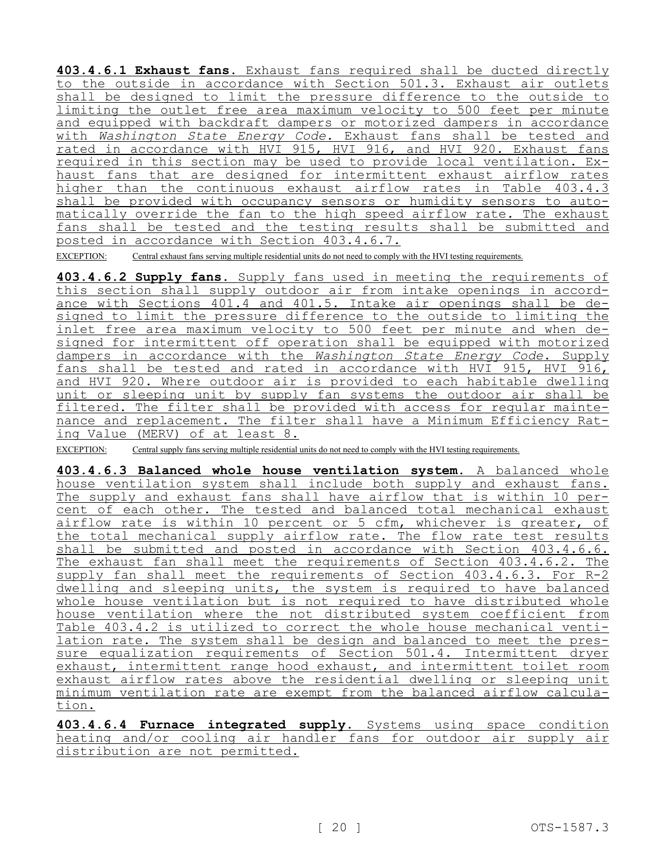**403.4.6.1 Exhaust fans.** Exhaust fans required shall be ducted directly to the outside in accordance with Section 501.3. Exhaust air outlets shall be designed to limit the pressure difference to the outside to limiting the outlet free area maximum velocity to 500 feet per minute and equipped with backdraft dampers or motorized dampers in accordance with *Washington State Energy Code*. Exhaust fans shall be tested and rated in accordance with HVI 915, HVI 916, and HVI 920. Exhaust fans required in this section may be used to provide local ventilation. Exhaust fans that are designed for intermittent exhaust airflow rates higher than the continuous exhaust airflow rates in Table 403.4.3 shall be provided with occupancy sensors or humidity sensors to automatically override the fan to the high speed airflow rate. The exhaust fans shall be tested and the testing results shall be submitted and posted in accordance with Section 403.4.6.7.

EXCEPTION: Central exhaust fans serving multiple residential units do not need to comply with the HVI testing requirements.

**403.4.6.2 Supply fans.** Supply fans used in meeting the requirements of this section shall supply outdoor air from intake openings in accordance with Sections 401.4 and 401.5. Intake air openings shall be designed to limit the pressure difference to the outside to limiting the inlet free area maximum velocity to 500 feet per minute and when designed for intermittent off operation shall be equipped with motorized dampers in accordance with the *Washington State Energy Code*. Supply fans shall be tested and rated in accordance with HVI 915, HVI 916, and HVI 920. Where outdoor air is provided to each habitable dwelling unit or sleeping unit by supply fan systems the outdoor air shall be filtered. The filter shall be provided with access for regular maintenance and replacement. The filter shall have a Minimum Efficiency Rating Value (MERV) of at least 8.

EXCEPTION: Central supply fans serving multiple residential units do not need to comply with the HVI testing requirements.

**403.4.6.3 Balanced whole house ventilation system.** A balanced whole house ventilation system shall include both supply and exhaust fans. The supply and exhaust fans shall have airflow that is within 10 percent of each other. The tested and balanced total mechanical exhaust airflow rate is within 10 percent or 5 cfm, whichever is greater, of the total mechanical supply airflow rate. The flow rate test results shall be submitted and posted in accordance with Section 403.4.6.6. The exhaust fan shall meet the requirements of Section 403.4.6.2. The supply fan shall meet the requirements of Section 403.4.6.3. For R-2 dwelling and sleeping units, the system is required to have balanced whole house ventilation but is not required to have distributed whole house ventilation where the not distributed system coefficient from Table 403.4.2 is utilized to correct the whole house mechanical ventilation rate. The system shall be design and balanced to meet the pressure equalization requirements of Section 501.4. Intermittent dryer exhaust, intermittent range hood exhaust, and intermittent toilet room exhaust airflow rates above the residential dwelling or sleeping unit minimum ventilation rate are exempt from the balanced airflow calculation.

**403.4.6.4 Furnace integrated supply.** Systems using space condition heating and/or cooling air handler fans for outdoor air supply air distribution are not permitted.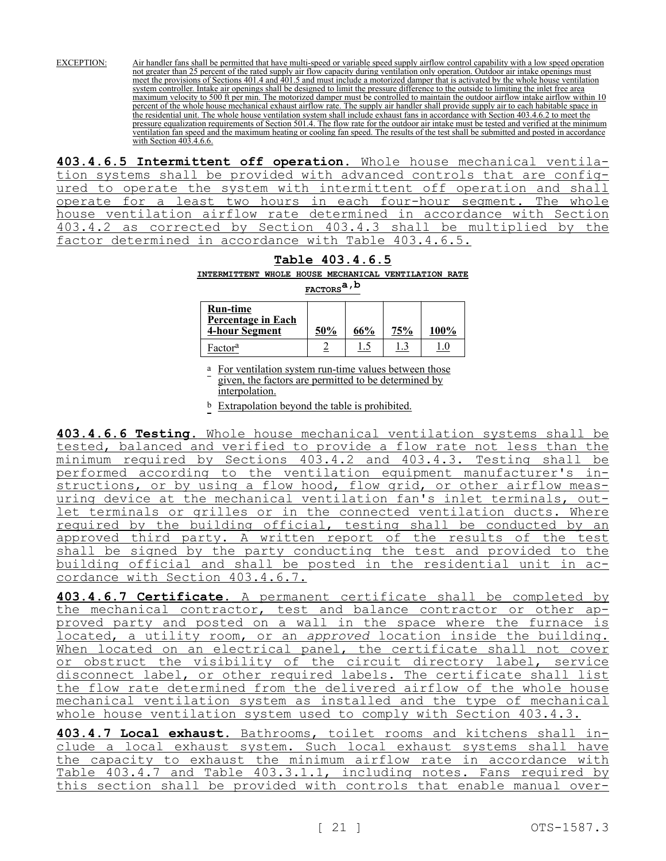EXCEPTION: Air handler fans shall be permitted that have multi-speed or variable speed supply airflow control capability with a low speed operation not greater than 25 percent of the rated supply air flow capacity during ventilation only operation. Outdoor air intake openings must meet the provisions of Sections 401.4 and 401.5 and must include a motorized damper that is activated by the whole house ventilation system controller. Intake air openings shall be designed to limit the pressure difference to the outside to limiting the inlet free area maximum velocity to 500 ft per min. The motorized damper must be controlled to maintain the outdoor airflow intake airflow within 10 percent of the whole house mechanical exhaust airflow rate. The supply air handler shall provide supply air to each habitable space in the residential unit. The whole house ventilation system shall include exhaust fans in accordance with Section 403.4.6.2 to meet the pressure equalization requirements of Section 501.4. The flow rate for the outdoor air intake must be tested and verified at the minimum ventilation fan speed and the maximum heating or cooling fan speed. The results of the test shall be submitted and posted in accordance with Section 403.4.6.6.

**403.4.6.5 Intermittent off operation.** Whole house mechanical ventilation systems shall be provided with advanced controls that are configured to operate the system with intermittent off operation and shall operate for a least two hours in each four-hour segment. The whole house ventilation airflow rate determined in accordance with Section 403.4.2 as corrected by Section 403.4.3 shall be multiplied by the factor determined in accordance with Table 403.4.6.5.

## **Table 403.4.6.5**

**INTERMITTENT WHOLE HOUSE MECHANICAL VENTILATION RATE** 

**FACTORSa,b**

| <b>Run-time</b><br><b>Percentage in Each</b><br><b>4-hour Segment</b> | 50% | 66% | 75% | 100% |
|-----------------------------------------------------------------------|-----|-----|-----|------|
| Factor <sup>a</sup>                                                   |     | t.s |     |      |

a For ventilation system run-time values between those given, the factors are permitted to be determined by interpolation.

b Extrapolation beyond the table is prohibited.

**403.4.6.6 Testing.** Whole house mechanical ventilation systems shall be tested, balanced and verified to provide a flow rate not less than the<br>minimum required by Sections 403.4.2 and 403.4.3. Testing shall be minimum required by Sections 403.4.2 and 403.4.3. Testing shall be performed according to the ventilation equipment manufacturer's instructions, or by using a flow hood, flow grid, or other airflow measuring device at the mechanical ventilation fan's inlet terminals, outlet terminals or grilles or in the connected ventilation ducts. Where required by the building official, testing shall be conducted by an<br>approved third party. A written report of the results of the test approved third party. A written report of the results of the test shall be signed by the party conducting the test and provided to the building official and shall be posted in the residential unit in accordance with Section 403.4.6.7.

**403.4.6.7 Certificate.** A permanent certificate shall be completed by the mechanical contractor, test and balance contractor or other approved party and posted on a wall in the space where the furnace is located, a utility room, or an *approved* location inside the building. When located on an electrical panel, the certificate shall not cover or obstruct the visibility of the circuit directory label, service disconnect label, or other required labels. The certificate shall list the flow rate determined from the delivered airflow of the whole house mechanical ventilation system as installed and the type of mechanical whole house ventilation system used to comply with Section 403.4.3.

**403.4.7 Local exhaust.** Bathrooms, toilet rooms and kitchens shall include a local exhaust system. Such local exhaust systems shall have the capacity to exhaust the minimum airflow rate in accordance with Table 403.4.7 and Table 403.3.1.1, including notes. Fans required by this section shall be provided with controls that enable manual over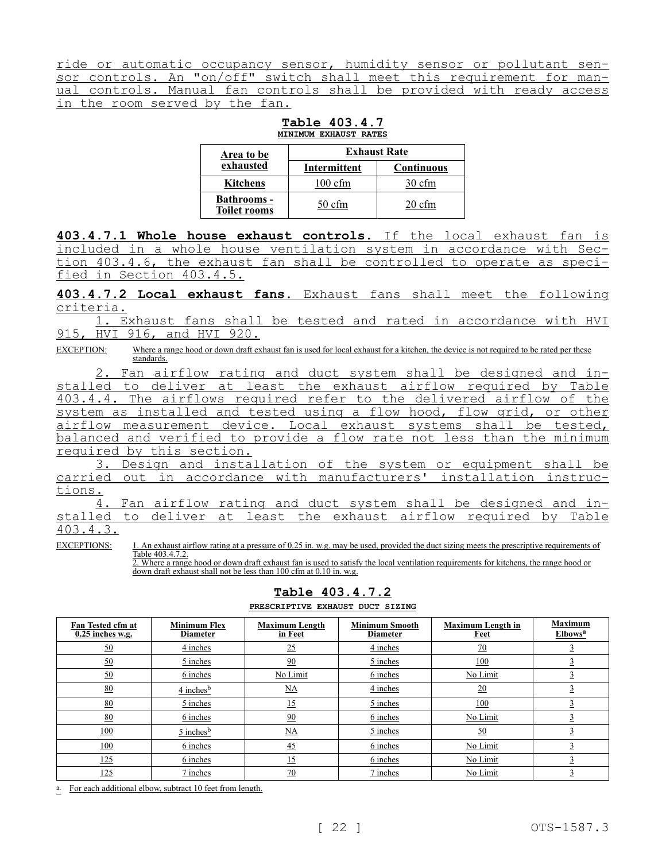ride or automatic occupancy sensor, humidity sensor or pollutant sensor controls. An "on/off" switch shall meet this requirement for manual controls. Manual fan controls shall be provided with ready access in the room served by the fan.

**Table 403.4.7 MINIMUM EXHAUST RATES**

| <b>Area to be</b>                         | <b>Exhaust Rate</b> |                   |  |  |  |  |
|-------------------------------------------|---------------------|-------------------|--|--|--|--|
| exhausted                                 | <b>Intermittent</b> | <b>Continuous</b> |  |  |  |  |
| <b>Kitchens</b>                           | $100 \text{ cfm}$   | $30 \text{ cfm}$  |  |  |  |  |
| <b>Bathrooms -</b><br><b>Toilet rooms</b> | $50 \text{ cfm}$    | $20 \text{ cfm}$  |  |  |  |  |

**403.4.7.1 Whole house exhaust controls.** If the local exhaust fan is included in a whole house ventilation system in accordance with Section 403.4.6, the exhaust fan shall be controlled to operate as specified in Section 403.4.5.

**403.4.7.2 Local exhaust fans.** Exhaust fans shall meet the following criteria.

1. Exhaust fans shall be tested and rated in accordance with HVI 915, HVI 916, and HVI 920.

EXCEPTION: Where a range hood or down draft exhaust fan is used for local exhaust for a kitchen, the device is not required to be rated per these standards.

2. Fan airflow rating and duct system shall be designed and installed to deliver at least the exhaust airflow required by Table 403.4.4. The airflows required refer to the delivered airflow of the system as installed and tested using a flow hood, flow grid, or other airflow measurement device. Local exhaust systems shall be tested, balanced and verified to provide a flow rate not less than the minimum required by this section.

3. Design and installation of the system or equipment shall be carried out in accordance with manufacturers' installation instructions.

4. Fan airflow rating and duct system shall be designed and installed to deliver at least the exhaust airflow required by Table 403.4.3.

2. Where a range hood or down draft exhaust fan is used to satisfy the local ventilation requirements for kitchens, the range hood or down draft exhaust shall not be less than 100 cfm at 0.10 in. w.g.

|                                         |                                        | PRESCRIPTIVE EXHAUST DUCT SIZING |                                          |                                  |                                              |
|-----------------------------------------|----------------------------------------|----------------------------------|------------------------------------------|----------------------------------|----------------------------------------------|
| Fan Tested cfm at<br>$0.25$ inches w.g. | <b>Minimum Flex</b><br><b>Diameter</b> | <b>Maximum Length</b><br>in Feet | <b>Minimum Smooth</b><br><b>Diameter</b> | <b>Maximum Length in</b><br>Feet | <b>Maximum</b><br><b>Elbows</b> <sup>a</sup> |
| 50                                      | 4 inches                               | 25                               | 4 inches                                 | 70                               |                                              |
| <u>50</u>                               | 5 inches                               | 90                               | 5 inches                                 | 100                              |                                              |
| $\underline{50}$                        | 6 inches                               | No Limit                         | 6 inches                                 | No Limit                         |                                              |
| 80                                      | $4$ inches <sup>b</sup>                | $\underline{\text{NA}}$          | 4 inches                                 | 20                               |                                              |
| 80                                      | 5 inches                               | 15                               | 5 inches                                 | 100                              |                                              |
| 80                                      | 6 inches                               | 90                               | 6 inches                                 | No Limit                         |                                              |
| 100                                     | $5$ inches <sup>b</sup>                | $\underline{NA}$                 | 5 inches                                 | 50                               |                                              |
| 100                                     | 6 inches                               | 45                               | 6 inches                                 | No Limit                         |                                              |
| 125                                     | 6 inches                               | 15                               | 6 inches                                 | No Limit                         |                                              |
| 125                                     | 7 inches                               | $\overline{20}$                  | 7 inches                                 | No Limit                         |                                              |

**Table 403.4.7.2 PRESCRIPTIVE EXHAUST DUCT SIZING**

a. For each additional elbow, subtract 10 feet from length.

EXCEPTIONS: 1. An exhaust airflow rating at a pressure of 0.25 in. w.g. may be used, provided the duct sizing meets the prescriptive requirements of Table 403.4.7.2.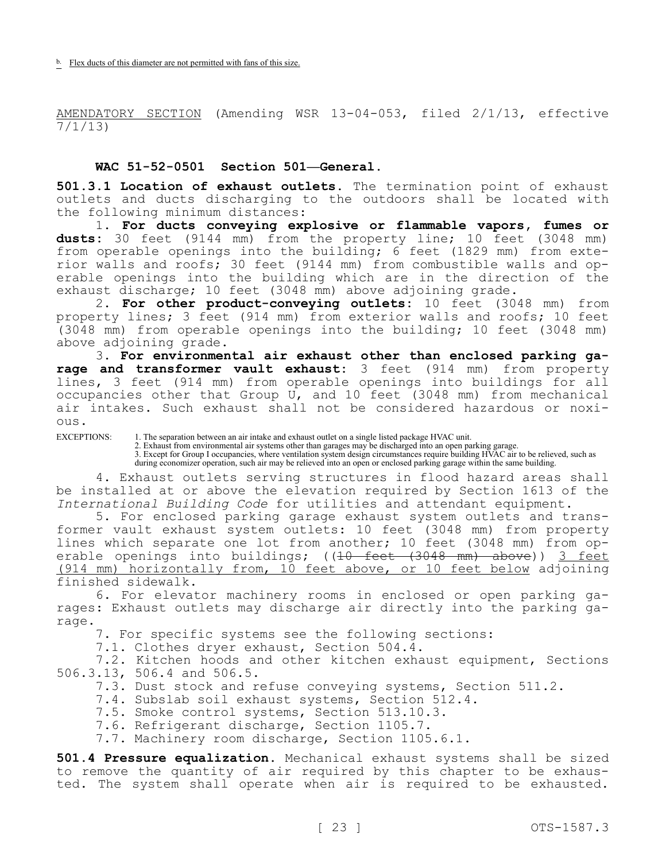b. Flex ducts of this diameter are not permitted with fans of this size.

AMENDATORY SECTION (Amending WSR 13-04-053, filed 2/1/13, effective 7/1/13)

### **WAC 51-52-0501 Section 501—General.**

**501.3.1 Location of exhaust outlets.** The termination point of exhaust outlets and ducts discharging to the outdoors shall be located with the following minimum distances:

1. **For ducts conveying explosive or flammable vapors, fumes or dusts:** 30 feet (9144 mm) from the property line; 10 feet (3048 mm) from operable openings into the building;  $6$  feet (1829 mm) from exterior walls and roofs; 30 feet (9144 mm) from combustible walls and operable openings into the building which are in the direction of the exhaust discharge; 10 feet (3048 mm) above adjoining grade.

2. **For other product-conveying outlets:** 10 feet (3048 mm) from property lines; 3 feet (914 mm) from exterior walls and roofs; 10 feet (3048 mm) from operable openings into the building; 10 feet (3048 mm) above adjoining grade.

3. **For environmental air exhaust other than enclosed parking garage and transformer vault exhaust:** 3 feet (914 mm) from property lines, 3 feet (914 mm) from operable openings into buildings for all occupancies other that Group U, and 10 feet (3048 mm) from mechanical air intakes. Such exhaust shall not be considered hazardous or noxious.

EXCEPTIONS: 1. The separation between an air intake and exhaust outlet on a single listed package HVAC unit.

2. Exhaust from environmental air systems other than garages may be discharged into an open parking garage.

3. Except for Group I occupancies, where ventilation system design circumstances require building HVAC air to be relieved, such as during economizer operation, such air may be relieved into an open or enclosed parking garage within the same building.

4. Exhaust outlets serving structures in flood hazard areas shall be installed at or above the elevation required by Section 1613 of the *International Building Code* for utilities and attendant equipment.

5. For enclosed parking garage exhaust system outlets and transformer vault exhaust system outlets: 10 feet (3048 mm) from property lines which separate one lot from another; 10 feet (3048 mm) from operable openings into buildings; ((10 feet (3048 mm) above)) 3 feet (914 mm) horizontally from, 10 feet above, or 10 feet below adjoining finished sidewalk.

6. For elevator machinery rooms in enclosed or open parking garages: Exhaust outlets may discharge air directly into the parking garage.

7. For specific systems see the following sections:

7.1. Clothes dryer exhaust, Section 504.4.

7.2. Kitchen hoods and other kitchen exhaust equipment, Sections 506.3.13, 506.4 and 506.5.

7.3. Dust stock and refuse conveying systems, Section 511.2.

7.4. Subslab soil exhaust systems, Section 512.4.

- 7.5. Smoke control systems, Section 513.10.3.
- 7.6. Refrigerant discharge, Section 1105.7.

7.7. Machinery room discharge, Section 1105.6.1.

**501.4 Pressure equalization.** Mechanical exhaust systems shall be sized to remove the quantity of air required by this chapter to be exhausted. The system shall operate when air is required to be exhausted.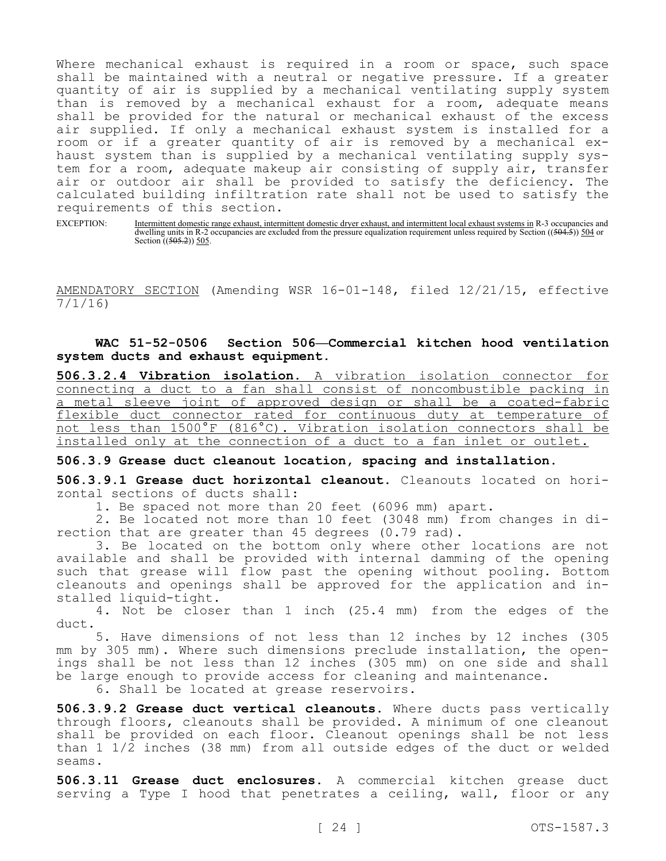Where mechanical exhaust is required in a room or space, such space shall be maintained with a neutral or negative pressure. If a greater quantity of air is supplied by a mechanical ventilating supply system than is removed by a mechanical exhaust for a room, adequate means shall be provided for the natural or mechanical exhaust of the excess air supplied. If only a mechanical exhaust system is installed for a room or if a greater quantity of air is removed by a mechanical exhaust system than is supplied by a mechanical ventilating supply system for a room, adequate makeup air consisting of supply air, transfer air or outdoor air shall be provided to satisfy the deficiency. The calculated building infiltration rate shall not be used to satisfy the requirements of this section.

EXCEPTION: Intermittent domestic range exhaust, intermittent domestic dryer exhaust, and intermittent local exhaust systems in R-3 occupancies and dwelling units in R-2 occupancies are excluded from the pressure equalization requirement unless required by Section ((504.5)) 504 or Section  $((505.2))$  505.

AMENDATORY SECTION (Amending WSR 16-01-148, filed 12/21/15, effective 7/1/16)

**WAC 51-52-0506 Section 506—Commercial kitchen hood ventilation system ducts and exhaust equipment.**

**506.3.2.4 Vibration isolation.** A vibration isolation connector for connecting a duct to a fan shall consist of noncombustible packing in a metal sleeve joint of approved design or shall be a coated-fabric flexible duct connector rated for continuous duty at temperature of not less than 1500°F (816°C). Vibration isolation connectors shall be installed only at the connection of a duct to a fan inlet or outlet.

**506.3.9 Grease duct cleanout location, spacing and installation.**

**506.3.9.1 Grease duct horizontal cleanout.** Cleanouts located on horizontal sections of ducts shall:

1. Be spaced not more than 20 feet (6096 mm) apart.

2. Be located not more than 10 feet (3048 mm) from changes in direction that are greater than 45 degrees (0.79 rad).

3. Be located on the bottom only where other locations are not available and shall be provided with internal damming of the opening such that grease will flow past the opening without pooling. Bottom cleanouts and openings shall be approved for the application and installed liquid-tight.

4. Not be closer than 1 inch (25.4 mm) from the edges of the duct.

5. Have dimensions of not less than 12 inches by 12 inches (305 mm by 305 mm). Where such dimensions preclude installation, the openings shall be not less than 12 inches (305 mm) on one side and shall be large enough to provide access for cleaning and maintenance.

6. Shall be located at grease reservoirs.

**506.3.9.2 Grease duct vertical cleanouts.** Where ducts pass vertically through floors, cleanouts shall be provided. A minimum of one cleanout shall be provided on each floor. Cleanout openings shall be not less than 1 1/2 inches (38 mm) from all outside edges of the duct or welded seams.

**506.3.11 Grease duct enclosures.** A commercial kitchen grease duct serving a Type I hood that penetrates a ceiling, wall, floor or any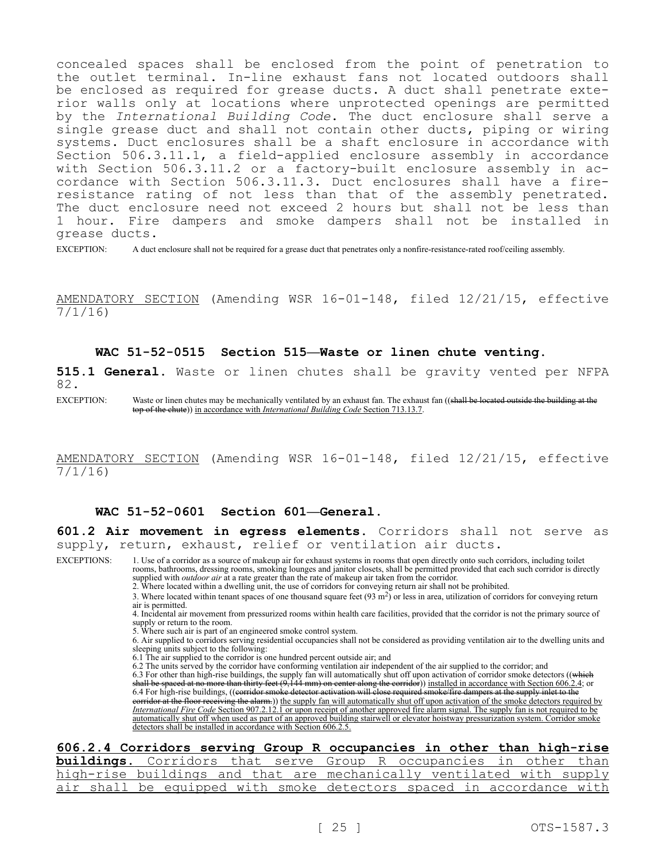concealed spaces shall be enclosed from the point of penetration to the outlet terminal. In-line exhaust fans not located outdoors shall be enclosed as required for grease ducts. A duct shall penetrate exterior walls only at locations where unprotected openings are permitted by the *International Building Code*. The duct enclosure shall serve a single grease duct and shall not contain other ducts, piping or wiring systems. Duct enclosures shall be a shaft enclosure in accordance with Section 506.3.11.1, a field-applied enclosure assembly in accordance with Section 506.3.11.2 or a factory-built enclosure assembly in accordance with Section 506.3.11.3. Duct enclosures shall have a fireresistance rating of not less than that of the assembly penetrated. The duct enclosure need not exceed 2 hours but shall not be less than 1 hour. Fire dampers and smoke dampers shall not be installed in grease ducts.

EXCEPTION: A duct enclosure shall not be required for a grease duct that penetrates only a nonfire-resistance-rated roof/ceiling assembly.

AMENDATORY SECTION (Amending WSR 16-01-148, filed 12/21/15, effective 7/1/16)

### **WAC 51-52-0515 Section 515—Waste or linen chute venting.**

**515.1 General.** Waste or linen chutes shall be gravity vented per NFPA 82.

EXCEPTION: Waste or linen chutes may be mechanically ventilated by an exhaust fan. The exhaust fan ((shall be located outside the building at the top of the chute)) in accordance with *International Building Code* Section 713.13.7.

AMENDATORY SECTION (Amending WSR 16-01-148, filed 12/21/15, effective 7/1/16)

### **WAC 51-52-0601 Section 601—General.**

**601.2 Air movement in egress elements.** Corridors shall not serve as supply, return, exhaust, relief or ventilation air ducts.

EXCEPTIONS: 1. Use of a corridor as a source of makeup air for exhaust systems in rooms that open directly onto such corridors, including toilet rooms, bathrooms, dressing rooms, smoking lounges and janitor closets, shall be permitted provided that each such corridor is directly supplied with *outdoor air* at a rate greater than the rate of makeup air taken from the corridor.

2. Where located within a dwelling unit, the use of corridors for conveying return air shall not be prohibited.

3. Where located within tenant spaces of one thousand square feet  $(93 \text{ m}^2)$  or less in area, utilization of corridors for conveying return air is permitted.

4. Incidental air movement from pressurized rooms within health care facilities, provided that the corridor is not the primary source of supply or return to the room.

5. Where such air is part of an engineered smoke control system.

6. Air supplied to corridors serving residential occupancies shall not be considered as providing ventilation air to the dwelling units and sleeping units subject to the following:

6.1 The air supplied to the corridor is one hundred percent outside air; and

6.2 The units served by the corridor have conforming ventilation air independent of the air supplied to the corridor; and

6.3 For other than high-rise buildings, the supply fan will automatically shut off upon activation of corridor smoke detectors ((which shall be spaced at no more than thirty feet (9,144 mm) on center along the corridor)) installed in accordance with Section 606.2.4; or 6.4 For high-rise buildings, ((corridor smoke detector activation will close required smoke/fire dampers at the supply inlet to the corridor at the floor receiving the alarm.)) the supply fan will automatically shut off upon activation of the smoke detectors required by *International Fire Code* Section 907.2.12.1 or upon receipt of another approved fire alarm signal. The supply fan is not required to be automatically shut off when used as part of an approved building stairwell or elevator hoistway pressurization system. Corridor smoke detectors shall be installed in accordance with Section 606.2.5.

### **606.2.4 Corridors serving Group R occupancies in other than high-rise**

|  |  |  |  |  |  |  | <b>buildings.</b> Corridors that serve Group R occupancies in other than |
|--|--|--|--|--|--|--|--------------------------------------------------------------------------|
|  |  |  |  |  |  |  | high-rise buildings and that are mechanically ventilated with supply     |
|  |  |  |  |  |  |  | air shall be equipped with smoke detectors spaced in accordance with     |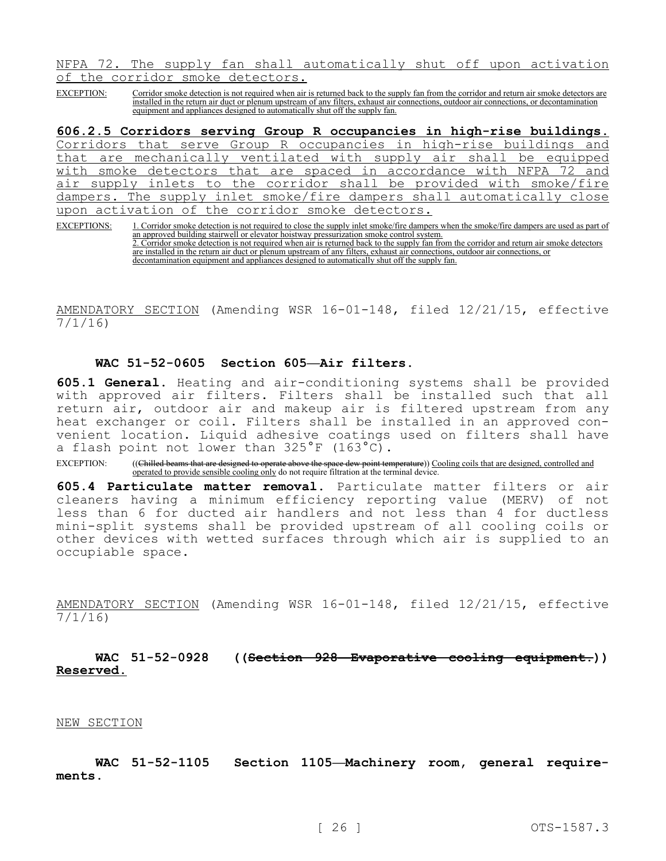NFPA 72. The supply fan shall automatically shut off upon activation of the corridor smoke detectors.

EXCEPTION: Corridor smoke detection is not required when air is returned back to the supply fan from the corridor and return air smoke detectors are installed in the return air duct or plenum upstream of any filters, exhaust air connections, outdoor air connections, or decontamination equipment and appliances designed to automatically shut off the supply fan.

**606.2.5 Corridors serving Group R occupancies in high-rise buildings.**  Corridors that serve Group R occupancies in high-rise buildings and that are mechanically ventilated with supply air shall be equipped with smoke detectors that are spaced in accordance with NFPA 72 and air supply inlets to the corridor shall be provided with smoke/fire dampers. The supply inlet smoke/fire dampers shall automatically close upon activation of the corridor smoke detectors.

EXCEPTIONS: 1. Corridor smoke detection is not required to close the supply inlet smoke/fire dampers when the smoke/fire dampers are used as part of an approved building stairwell or elevator hoistway pressurization smoke control system. 2. Corridor smoke detection is not required when air is returned back to the supply fan from the corridor and return air smoke detectors are installed in the return air duct or plenum upstream of any filters, exhaust air connections, outdoor air connections, or decontamination equipment and appliances designed to automatically shut off the supply fan.

AMENDATORY SECTION (Amending WSR 16-01-148, filed 12/21/15, effective 7/1/16)

### **WAC 51-52-0605 Section 605—Air filters.**

**605.1 General.** Heating and air-conditioning systems shall be provided with approved air filters. Filters shall be installed such that all return air, outdoor air and makeup air is filtered upstream from any heat exchanger or coil. Filters shall be installed in an approved convenient location. Liquid adhesive coatings used on filters shall have a flash point not lower than 325°F (163°C).

EXCEPTION: ((Chilled beams that are designed to operate above the space dew point temperature)) Cooling coils that are designed, controlled and operated to provide sensible cooling only do not require filtration at the terminal device.

**605.4 Particulate matter removal.** Particulate matter filters or air cleaners having a minimum efficiency reporting value (MERV) of not less than 6 for ducted air handlers and not less than 4 for ductless mini-split systems shall be provided upstream of all cooling coils or other devices with wetted surfaces through which air is supplied to an occupiable space.

AMENDATORY SECTION (Amending WSR 16-01-148, filed 12/21/15, effective 7/1/16)

**WAC 51-52-0928 ((Section 928—Evaporative cooling equipment.)) Reserved.**

#### NEW SECTION

**WAC 51-52-1105 Section 1105—Machinery room, general requirements.**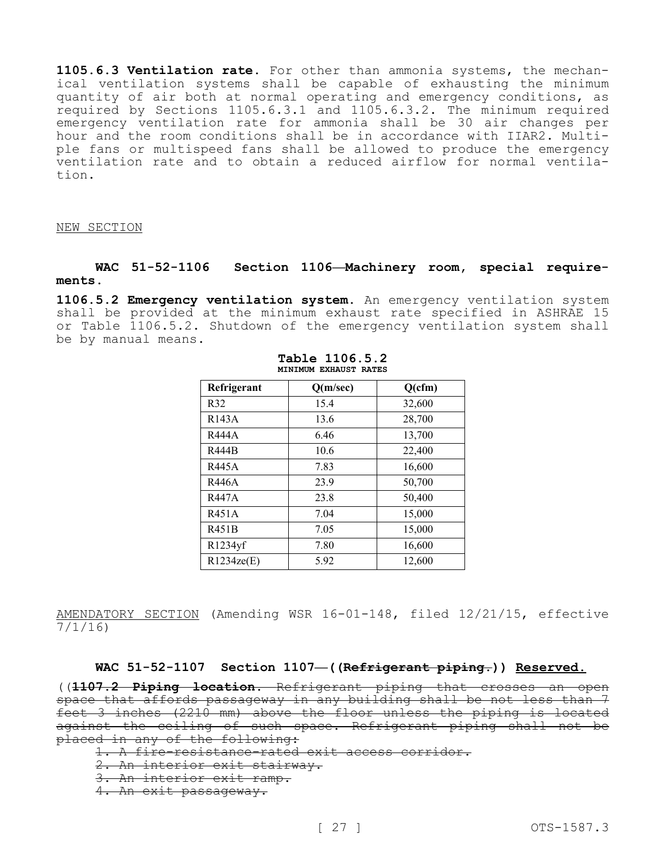**1105.6.3 Ventilation rate.** For other than ammonia systems, the mechanical ventilation systems shall be capable of exhausting the minimum quantity of air both at normal operating and emergency conditions, as required by Sections 1105.6.3.1 and 1105.6.3.2. The minimum required emergency ventilation rate for ammonia shall be 30 air changes per hour and the room conditions shall be in accordance with IIAR2. Multiple fans or multispeed fans shall be allowed to produce the emergency ventilation rate and to obtain a reduced airflow for normal ventilation.

#### NEW SECTION

### **WAC 51-52-1106 Section 1106—Machinery room, special requirements.**

**1106.5.2 Emergency ventilation system.** An emergency ventilation system shall be provided at the minimum exhaust rate specified in ASHRAE 15 or Table 1106.5.2. Shutdown of the emergency ventilation system shall be by manual means.

| Refrigerant        | Q(m/sec) | Q(cfm) |
|--------------------|----------|--------|
| R32                | 15.4     | 32,600 |
| R <sub>143</sub> A | 13.6     | 28,700 |
| R444A              | 6.46     | 13,700 |
| R444B              | 10.6     | 22,400 |
| R445A              | 7.83     | 16,600 |
| R446A              | 23.9     | 50,700 |
| R447A              | 23.8     | 50,400 |
| R451A              | 7.04     | 15,000 |
| R451B              | 7.05     | 15,000 |
| R1234yf            | 7.80     | 16,600 |
| R1234ze(E)         | 5.92     | 12,600 |

**Table 1106.5.2 MINIMUM EXHAUST RATES**

AMENDATORY SECTION (Amending WSR 16-01-148, filed 12/21/15, effective 7/1/16)

### **WAC 51-52-1107 Section 1107—((Refrigerant piping.)) Reserved.**

((**1107.2 Piping location.** Refrigerant piping that crosses an open space that affords passageway in any building shall be not less than 7 feet 3 inches (2210 mm) above the floor unless the piping is located against the ceiling of such space. Refrigerant piping shall not be placed in any of the following:

1. A fire-resistance-rated exit access corridor.

2. An interior exit stairway.

3. An interior exit ramp.

4. An exit passageway.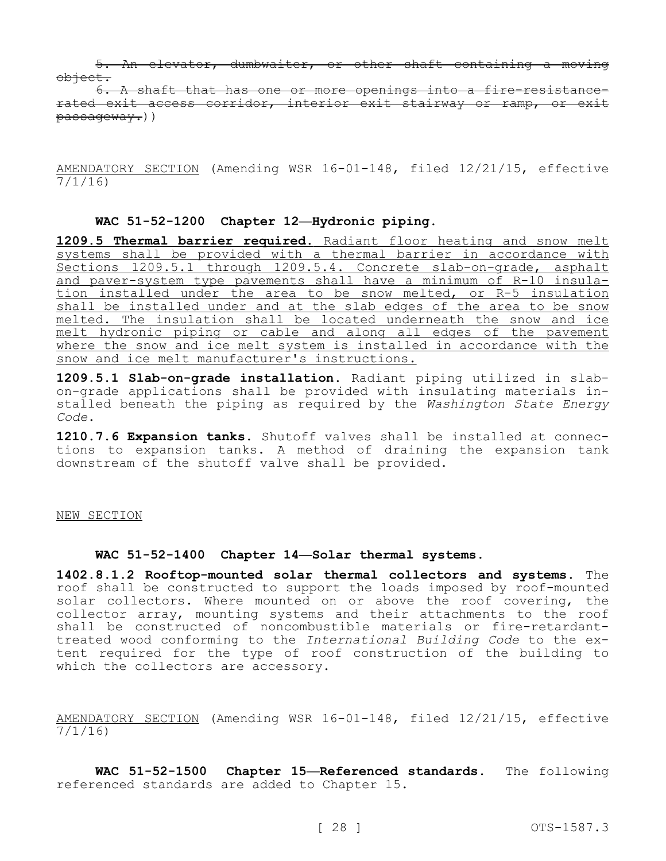5. An elevator, dumbwaiter, or other shaft containing a moving object.

6. A shaft that has one or more openings into a fire-resistancerated exit access corridor, interior exit stairway or ramp, or exit passageway.))

AMENDATORY SECTION (Amending WSR 16-01-148, filed 12/21/15, effective 7/1/16)

### **WAC 51-52-1200 Chapter 12—Hydronic piping.**

**1209.5 Thermal barrier required.** Radiant floor heating and snow melt systems shall be provided with a thermal barrier in accordance with Sections 1209.5.1 through 1209.5.4. Concrete slab-on-grade, asphalt and paver-system type pavements shall have a minimum of R-10 insulation installed under the area to be snow melted, or R-5 insulation shall be installed under and at the slab edges of the area to be snow melted. The insulation shall be located underneath the snow and ice melt hydronic piping or cable and along all edges of the pavement where the snow and ice melt system is installed in accordance with the snow and ice melt manufacturer's instructions.

**1209.5.1 Slab-on-grade installation.** Radiant piping utilized in slabon-grade applications shall be provided with insulating materials installed beneath the piping as required by the *Washington State Energy Code*.

**1210.7.6 Expansion tanks.** Shutoff valves shall be installed at connections to expansion tanks. A method of draining the expansion tank downstream of the shutoff valve shall be provided.

### NEW SECTION

### **WAC 51-52-1400 Chapter 14—Solar thermal systems.**

**1402.8.1.2 Rooftop-mounted solar thermal collectors and systems.** The roof shall be constructed to support the loads imposed by roof-mounted solar collectors. Where mounted on or above the roof covering, the collector array, mounting systems and their attachments to the roof shall be constructed of noncombustible materials or fire-retardanttreated wood conforming to the *International Building Code* to the extent required for the type of roof construction of the building to which the collectors are accessory.

AMENDATORY SECTION (Amending WSR 16-01-148, filed 12/21/15, effective 7/1/16)

**WAC 51-52-1500 Chapter 15—Referenced standards.** The following referenced standards are added to Chapter 15.